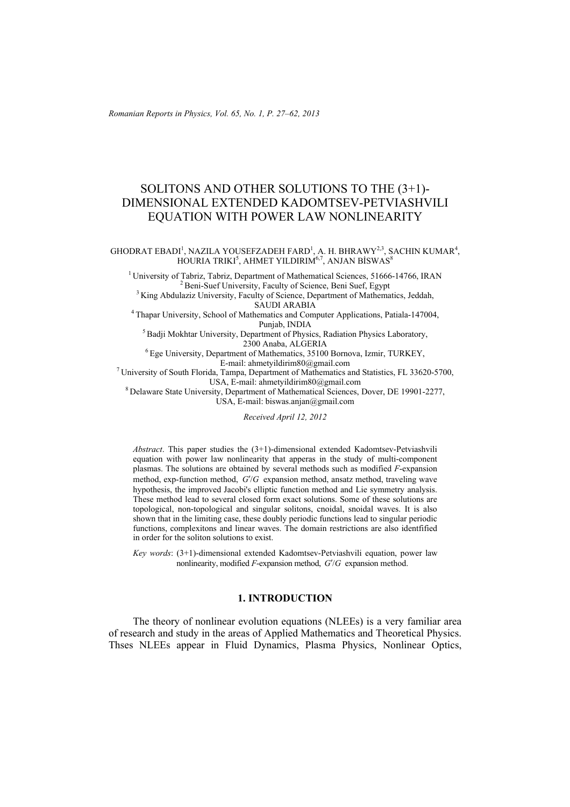*Romanian Reports in Physics, Vol. 65, No. 1, P. 27–62, 2013*

# SOLITONS AND OTHER SOLUTIONS TO THE (3+1)- DIMENSIONAL EXTENDED KADOMTSEV-PETVIASHVILI EQUATION WITH POWER LAW NONLINEARITY

GHODRAT EBADI<sup>1</sup>, NAZILA YOUSEFZADEH FARD<sup>1</sup>, A. H. BHRAWY<sup>2,3</sup>, SACHIN KUMAR<sup>4</sup>, HOURIA TRIKI<sup>5</sup>, AHMET YILDIRIM<sup>6,7</sup>, ANJAN BİSWAS<sup>8</sup>

<sup>1</sup> University of Tabriz, Tabriz, Department of Mathematical Sciences, 51666-14766, IRAN<br><sup>2</sup> Beni-Suef University, Faculty of Science, Beni Suef, Egypt<br><sup>3</sup> King Abdulaziz University, Faculty of Science, Department of Math

<sup>4</sup> Thapar University, School of Mathematics and Computer Applications, Patiala-147004,<br>Punjab, INDIA

 ${}^{5}$ Badji Mokhtar University, Department of Physics, Radiation Physics Laboratory, 2300 Anaba, ALGERIA

<sup>6</sup> Ege University, Department of Mathematics, 35100 Bornova, Izmir, TURKEY, E-mail: ahmetvildirim80@gmail.com

<sup>7</sup> University of South Florida, Tampa, Department of Mathematics and Statistics, FL 33620-5700, USA, E-mail: ahmetyildirim80@gmail.com

<sup>8</sup> Delaware State University, Department of Mathematical Sciences, Dover, DE 19901-2277, USA, E-mail: biswas.anjan@gmail.com

*Received April 12, 2012* 

*Abstract*. This paper studies the (3+1)-dimensional extended Kadomtsev-Petviashvili equation with power law nonlinearity that apperas in the study of multi-component plasmas. The solutions are obtained by several methods such as modified *F*-expansion method, exp-function method,  $G/G$  expansion method, ansatz method, traveling wave hypothesis, the improved Jacobi's elliptic function method and Lie symmetry analysis. These method lead to several closed form exact solutions. Some of these solutions are topological, non-topological and singular solitons, cnoidal, snoidal waves. It is also shown that in the limiting case, these doubly periodic functions lead to singular periodic functions, complexitons and linear waves. The domain restrictions are also identfified in order for the soliton solutions to exist.

*Key words*: (3+1)-dimensional extended Kadomtsev-Petviashvili equation, power law nonlinearity, modified *F*-expansion method,  $G/G$  expansion method.

#### **1. INTRODUCTION**

The theory of nonlinear evolution equations (NLEEs) is a very familiar area of research and study in the areas of Applied Mathematics and Theoretical Physics. Thses NLEEs appear in Fluid Dynamics, Plasma Physics, Nonlinear Optics,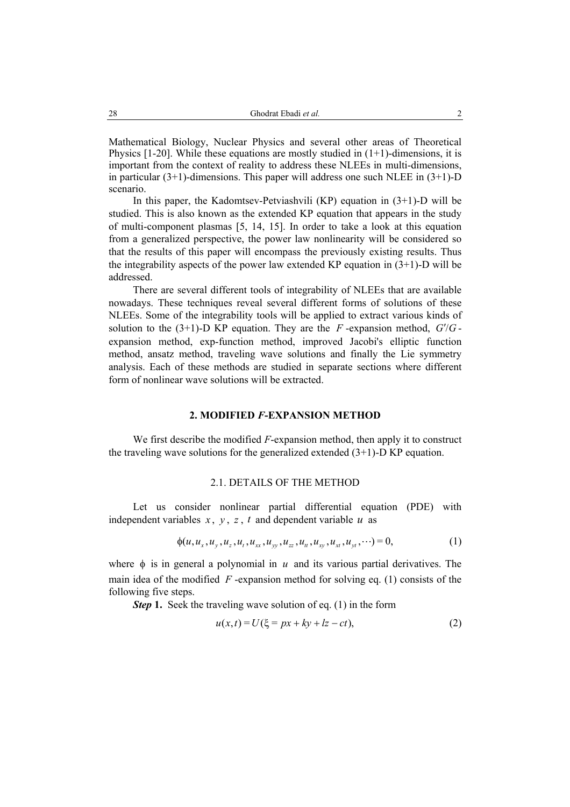Mathematical Biology, Nuclear Physics and several other areas of Theoretical Physics  $[1-20]$ . While these equations are mostly studied in  $(1+1)$ -dimensions, it is important from the context of reality to address these NLEEs in multi-dimensions, in particular  $(3+1)$ -dimensions. This paper will address one such NLEE in  $(3+1)$ -D scenario.

In this paper, the Kadomtsev-Petviashvili  $(KP)$  equation in  $(3+1)$ -D will be studied. This is also known as the extended KP equation that appears in the study of multi-component plasmas [5, 14, 15]. In order to take a look at this equation from a generalized perspective, the power law nonlinearity will be considered so that the results of this paper will encompass the previously existing results. Thus the integrability aspects of the power law extended KP equation in  $(3+1)$ -D will be addressed.

There are several different tools of integrability of NLEEs that are available nowadays. These techniques reveal several different forms of solutions of these NLEEs. Some of the integrability tools will be applied to extract various kinds of solution to the  $(3+1)$ -D KP equation. They are the *F* -expansion method,  $G/G$ expansion method, exp-function method, improved Jacobi's elliptic function method, ansatz method, traveling wave solutions and finally the Lie symmetry analysis. Each of these methods are studied in separate sections where different form of nonlinear wave solutions will be extracted.

### **2. MODIFIED** *F***-EXPANSION METHOD**

We first describe the modified *F*-expansion method, then apply it to construct the traveling wave solutions for the generalized extended  $(3+1)$ -D KP equation.

#### 2.1. DETAILS OF THE METHOD

Let us consider nonlinear partial differential equation (PDE) with independent variables  $x$ ,  $y$ ,  $z$ ,  $t$  and dependent variable  $u$  as

$$
\phi(u, u_x, u_y, u_z, u_t, u_{xx}, u_{yy}, u_{zz}, u_{tt}, u_{xy}, u_{xt}, u_{yt}, \cdots) = 0, \qquad (1)
$$

where  $\phi$  is in general a polynomial in  $u$  and its various partial derivatives. The main idea of the modified *F* -expansion method for solving eq. (1) consists of the following five steps.

*Step* **1.** Seek the traveling wave solution of eq. (1) in the form

$$
u(x,t) = U(\xi = px + ky + lz - ct),
$$
 (2)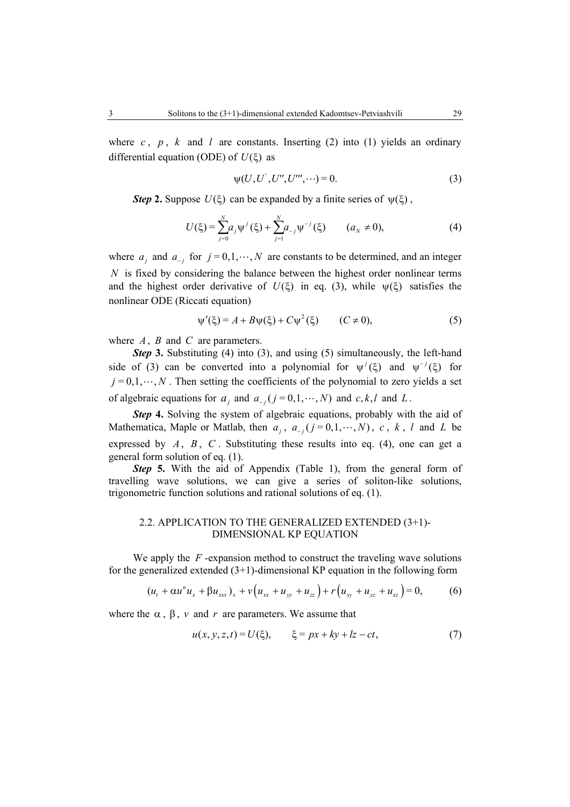where  $c$ ,  $p$ ,  $k$  and  $l$  are constants. Inserting (2) into (1) yields an ordinary differential equation (ODE) of  $U(\xi)$  as

$$
\psi(U, U', U'', U''', \cdots) = 0.
$$
 (3)

*Step* 2. Suppose  $U(\xi)$  can be expanded by a finite series of  $\psi(\xi)$ ,

$$
U(\xi) = \sum_{j=0}^{N} a_j \psi^j(\xi) + \sum_{j=1}^{N} a_{-j} \psi^{-j}(\xi) \qquad (a_N \neq 0),
$$
 (4)

where  $a_j$  and  $a_{-j}$  for  $j = 0, 1, \dots, N$  are constants to be determined, and an integer *N* is fixed by considering the balance between the highest order nonlinear terms and the highest order derivative of  $U(\xi)$  in eq. (3), while  $\psi(\xi)$  satisfies the nonlinear ODE (Riccati equation)

$$
\psi'(\xi) = A + B\psi(\xi) + C\psi^2(\xi) \qquad (C \neq 0), \tag{5}
$$

where *A*, *B* and *C* are parameters.

**Step 3.** Substituting (4) into (3), and using (5) simultaneously, the left-hand side of (3) can be converted into a polynomial for  $\psi^j(\xi)$  and  $\psi^{-j}(\xi)$  for  $j = 0, 1, \dots, N$ . Then setting the coefficients of the polynomial to zero yields a set of algebraic equations for  $a_i$ , and  $a_{-i}$  ( $j = 0,1, \dots, N$ ) and *c, k, l* and *L*.

**Step 4.** Solving the system of algebraic equations, probably with the aid of Mathematica, Maple or Matlab, then  $a_j$ ,  $a_{j}$   $(j = 0, 1, \dots, N)$ ,  $c$ ,  $k$ ,  $l$  and  $L$  be expressed by  $A$ ,  $B$ ,  $C$ . Substituting these results into eq. (4), one can get a general form solution of eq. (1).

**Step 5.** With the aid of Appendix (Table 1), from the general form of travelling wave solutions, we can give a series of soliton-like solutions, trigonometric function solutions and rational solutions of eq. (1).

#### 2.2. APPLICATION TO THE GENERALIZED EXTENDED (3+1)- DIMENSIONAL KP EQUATION

We apply the *F* -expansion method to construct the traveling wave solutions for the generalized extended  $(3+1)$ -dimensional KP equation in the following form

$$
(u_t + \alpha u^n u_x + \beta u_{xxx})_x + v(u_{xx} + u_{yy} + u_{zz}) + r(u_{xy} + u_{yz} + u_{xz}) = 0, \qquad (6)
$$

where the  $\alpha$ ,  $\beta$ ,  $\nu$  and  $r$  are parameters. We assume that

$$
u(x, y, z, t) = U(\xi), \qquad \xi = px + ky + kz - ct,\tag{7}
$$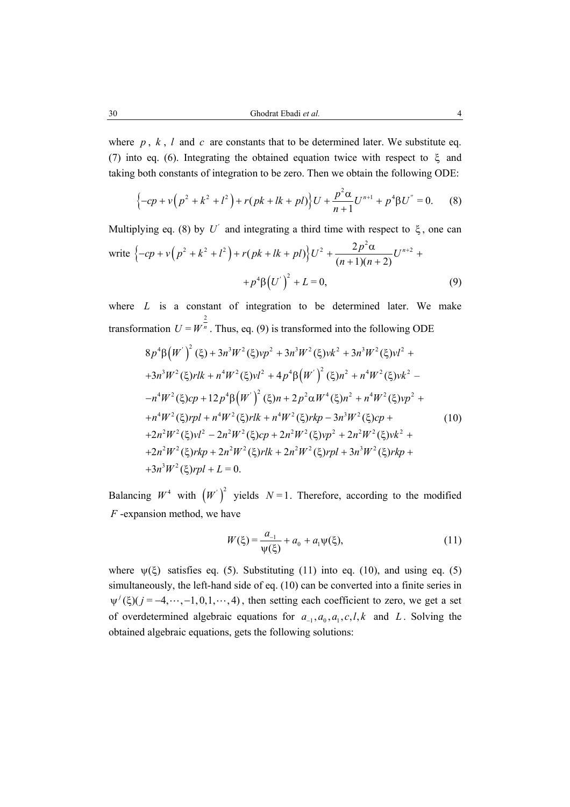where  $p, k, l$  and  $c$  are constants that to be determined later. We substitute eq. (7) into eq. (6). Integrating the obtained equation twice with respect to ξ and taking both constants of integration to be zero. Then we obtain the following ODE:

$$
\left\{-cp + v\left(p^2 + k^2 + l^2\right) + r(pk + lk + pl)\right\}U + \frac{p^2\alpha}{n+1}U^{n+1} + p^4\beta U^{\prime\prime} = 0. \tag{8}
$$

Multiplying eq. (8) by  $U'$  and integrating a third time with respect to  $\xi$ , one can write  $\left\{-cp + v\left(p^2 + k^2 + l^2\right) + r(pk + lk + pl)\right\}U^2 + \frac{2p^2\alpha}{(n+1)(n+2)}U^{n+2}$  $n+1(n)$  $-cp + v(p^2 + k^2 + l^2) + r(pk + lk + pl)U^2 + \frac{2p^2\alpha}{(m+1)(m+2)}U^{n+2} +$  $+1(n +$  $+p^4\beta (U')^2 + L = 0,$  (9)

where *L* is a constant of integration to be determined later. We make transformation 2  $U = W<sup>n</sup>$ . Thus, eq. (9) is transformed into the following ODE

$$
8p^4\beta \left(W'\right)^2 (\xi) + 3n^3W^2 (\xi)vp^2 + 3n^3W^2 (\xi)vk^2 + 3n^3W^2 (\xi)vl^2 ++3n^3W^2 (\xi)rlk + n^4W^2 (\xi)vl^2 + 4p^4\beta \left(W'\right)^2 (\xi)n^2 + n^4W^2 (\xi)vk^2 --n^4W^2 (\xi)cp + 12p^4\beta \left(W'\right)^2 (\xi)n + 2p^2\alpha W^4 (\xi)n^2 + n^4W^2 (\xi)vp^2 ++n^4W^2 (\xi)rpl + n^4W^2 (\xi)rlk + n^4W^2 (\xi)rkp - 3n^3W^2 (\xi)cp ++2n^2W^2 (\xi)vl^2 - 2n^2W^2 (\xi)cp + 2n^2W^2 (\xi)vp^2 + 2n^2W^2 (\xi)vk^2 ++2n^2W^2 (\xi)rkp + 2n^2W^2 (\xi)rlk + 2n^2W^2 (\xi)rpl + 3n^3W^2 (\xi)rkp ++3n^3W^2 (\xi)rpl + L = 0.
$$

Balancing  $W^4$  with  $(W')^2$  yields  $N=1$ . Therefore, according to the modified *F* -expansion method, we have

$$
W(\xi) = \frac{a_{-1}}{\psi(\xi)} + a_0 + a_1 \psi(\xi),
$$
\n(11)

where  $\psi(\xi)$  satisfies eq. (5). Substituting (11) into eq. (10), and using eq. (5) simultaneously, the left-hand side of eq. (10) can be converted into a finite series in  $\psi^{j}(\xi)(j = -4, \dots, -1, 0, 1, \dots, 4)$ , then setting each coefficient to zero, we get a set of overdetermined algebraic equations for  $a_{-1}, a_0, a_1, c, l, k$  and *L*. Solving the obtained algebraic equations, gets the following solutions: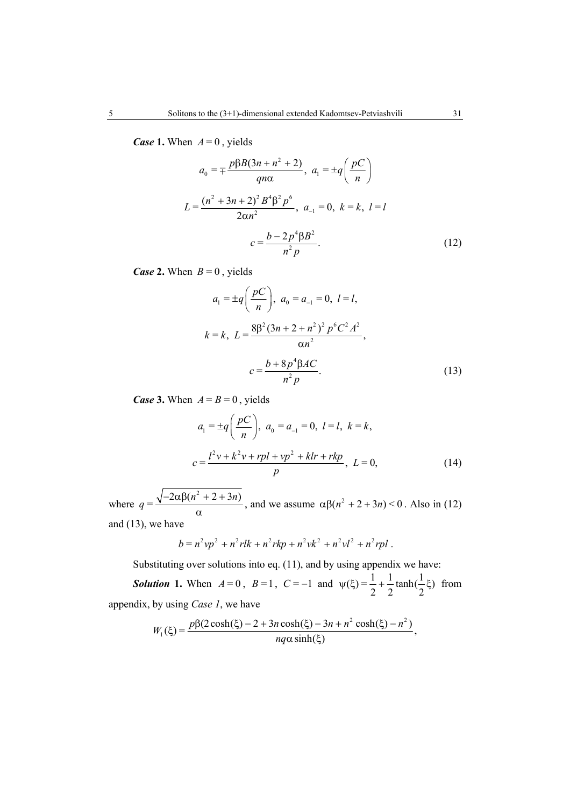*Case* 1. When  $A = 0$ , yields

$$
a_0 = \pm \frac{p\beta B(3n + n^2 + 2)}{qn\alpha}, \ a_1 = \pm q \left(\frac{pC}{n}\right)
$$
  

$$
L = \frac{(n^2 + 3n + 2)^2 B^4 \beta^2 p^6}{2\alpha n^2}, \ a_{-1} = 0, \ k = k, \ l = l
$$
  

$$
c = \frac{b - 2p^4 \beta B^2}{n^2 p}.
$$
 (12)

*Case* 2. When  $B = 0$ , yields

$$
a_1 = \pm q \left( \frac{pC}{n} \right), \ a_0 = a_{-1} = 0, \ l = l,
$$
  

$$
k = k, \ L = \frac{8\beta^2 (3n + 2 + n^2)^2 p^6 C^2 A^2}{\alpha n^2},
$$
  

$$
c = \frac{b + 8p^4 \beta AC}{n^2 p}.
$$
 (13)

*Case* 3. When  $A = B = 0$ , yields

$$
a_1 = \pm q \left( \frac{pC}{n} \right), \ a_0 = a_{-1} = 0, \ l = l, \ k = k,
$$
  

$$
c = \frac{l^2 v + k^2 v + rpl + v p^2 + klr + rkp}{p}, \ L = 0,
$$
 (14)

where  $q = \frac{\sqrt{-2\alpha\beta(n^2 + 2 + 3n)}}{n}$  $-2\alpha\beta(n^2+2 +$ α , and we assume  $\alpha \beta (n^2 + 2 + 3n) < 0$ . Also in (12) and (13), we have

$$
b = n^2vp^2 + n^2rlk + n^2rk p + n^2vk^2 + n^2vl^2 + n^2rpl.
$$

Substituting over solutions into eq. (11), and by using appendix we have:

**Solution 1.** When  $A = 0$ ,  $B = 1$ ,  $C = -1$  and  $\psi(\xi) = \frac{1}{2} + \frac{1}{2} \tanh(\frac{1}{2}\xi)$  from appendix, by using *Case 1*, we have

$$
W_1(\xi) = \frac{p\beta(2\cosh(\xi) - 2 + 3n\cosh(\xi) - 3n + n^2\cosh(\xi) - n^2)}{nq\alpha\sinh(\xi)},
$$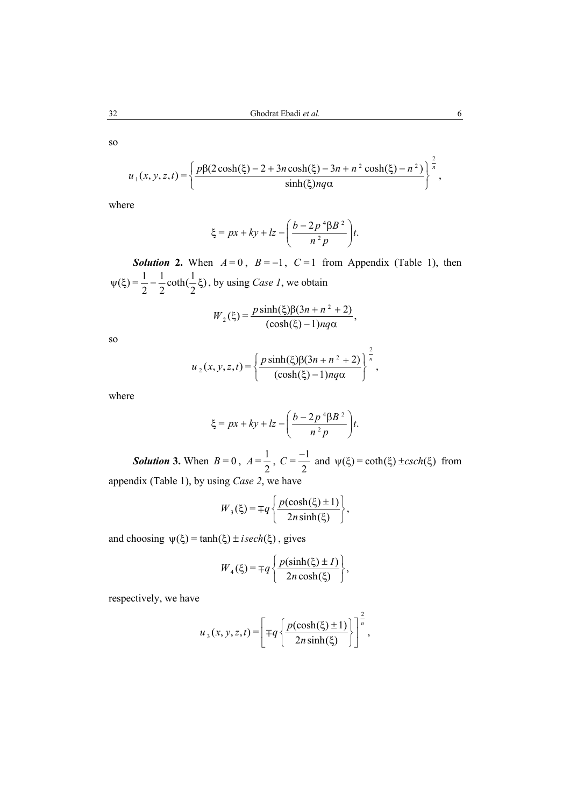so

$$
u_1(x, y, z, t) = \left\{ \frac{p\beta(2\cosh(\xi) - 2 + 3n\cosh(\xi) - 3n + n^2\cosh(\xi) - n^2)}{\sinh(\xi)nq\alpha} \right\}^{\frac{2}{n}},
$$

where

$$
\xi = px + ky + lz - \left(\frac{b - 2p^4\beta B^2}{n^2p}\right)t.
$$

*Solution* 2. When  $A = 0$ ,  $B = -1$ ,  $C = 1$  from Appendix (Table 1), then  $\psi(\xi) = \frac{1}{2} - \frac{1}{2} \coth(\frac{1}{2}\xi)$ , by using *Case 1*, we obtain

$$
W_2(\xi) = \frac{p \sinh(\xi)\beta(3n + n^2 + 2)}{(\cosh(\xi) - 1)nq\alpha},
$$

so  

$$
u_2(x, y, z, t) = \left\{ \frac{p \sinh(\xi)\beta(3n + n^2 + 2)}{(\cosh(\xi) - 1) n q \alpha} \right\}^{\frac{2}{n}},
$$

where

$$
\xi = px + ky + lz - \left(\frac{b - 2p^4\beta B^2}{n^2p}\right)t.
$$

**Solution 3.** When  $B = 0$ ,  $A = \frac{1}{2}$ ,  $C = \frac{-1}{2}$  and  $\psi(\xi) = \coth(\xi) \pm \operatorname{csch}(\xi)$  from appendix (Table 1), by using *Case 2*, we have

$$
W_3(\xi) = \mp q \left\{ \frac{p(\cosh(\xi) \pm 1)}{2n \sinh(\xi)} \right\},\,
$$

and choosing  $\psi(\xi) = \tanh(\xi) \pm isech(\xi)$ , gives

$$
W_4(\xi) = \mp q \left\{ \frac{p(\sinh(\xi) \pm I)}{2n \cosh(\xi)} \right\},\,
$$

respectively, we have

$$
u_3(x, y, z, t) = \left[ \mp q \left\{ \frac{p(\cosh(\xi) \pm 1)}{2n \sinh(\xi)} \right\} \right]^{\frac{2}{n}},
$$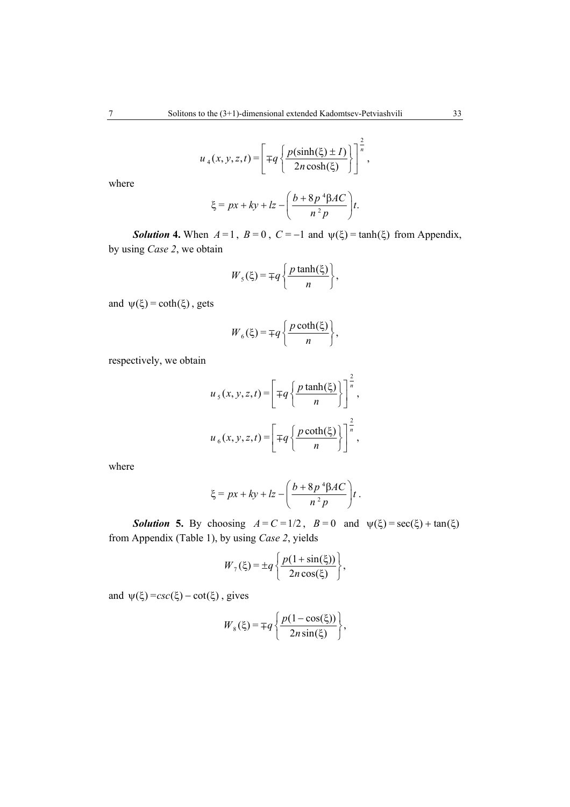$$
u_4(x, y, z, t) = \left[ \mp q \left\{ \frac{p(\sinh(\xi) \pm I)}{2n \cosh(\xi)} \right\} \right]^{\frac{2}{n}},
$$

where

$$
\xi = px + ky + lz - \left(\frac{b + 8p^4\beta AC}{n^2 p}\right)t.
$$

*Solution* **4.** When  $A = 1$ ,  $B = 0$ ,  $C = -1$  and  $\psi(\xi) = \tanh(\xi)$  from Appendix, by using *Case 2*, we obtain

$$
W_5(\xi) = \mp q \left\{ \frac{p \tanh(\xi)}{n} \right\},\,
$$

and  $\psi(\xi) = \coth(\xi)$ , gets

$$
W_6(\xi) = \mp q \left\{ \frac{p \coth(\xi)}{n} \right\},\,
$$

respectively, we obtain

$$
u_{s}(x, y, z, t) = \left[\mp q \left\{\frac{p \tanh(\xi)}{n}\right\}\right]^{\frac{2}{n}},
$$

$$
u_{6}(x, y, z, t) = \left[\mp q \left\{\frac{p \coth(\xi)}{n}\right\}\right]^{\frac{2}{n}},
$$

where

$$
\xi = px + ky + lz - \left(\frac{b + 8p^4\beta AC}{n^2 p}\right)t.
$$

**Solution 5.** By choosing  $A = C = 1/2$ ,  $B = 0$  and  $\psi(\xi) = \sec(\xi) + \tan(\xi)$ from Appendix (Table 1), by using *Case 2*, yields

$$
W_7(\xi) = \pm q \left\{ \frac{p(1+\sin(\xi))}{2n\cos(\xi)} \right\},\,
$$

and  $\psi(\xi) = csc(\xi) - cot(\xi)$ , gives

$$
W_8(\xi) = \mp q \left\{ \frac{p(1-\cos(\xi))}{2n\sin(\xi)} \right\},\,
$$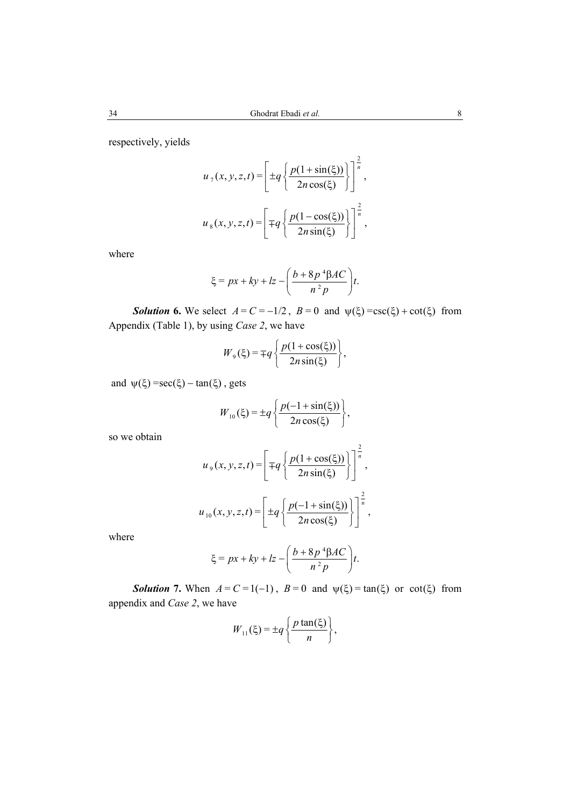respectively, yields

$$
u_{7}(x, y, z, t) = \left[ \pm q \left\{ \frac{p(1 + \sin(\xi))}{2n \cos(\xi)} \right\} \right]^{\frac{2}{n}},
$$

$$
u_{8}(x, y, z, t) = \left[ \mp q \left\{ \frac{p(1 - \cos(\xi))}{2n \sin(\xi)} \right\} \right]^{\frac{2}{n}},
$$

where

$$
\xi = px + ky + lz - \left(\frac{b + 8p^4\beta AC}{n^2 p}\right)t.
$$

**Solution 6.** We select  $A = C = -1/2$ ,  $B = 0$  and  $\psi(\xi) = \csc(\xi) + \cot(\xi)$  from Appendix (Table 1), by using *Case 2*, we have

$$
W_{9}(\xi) = \mp q \left\{ \frac{p(1+\cos(\xi))}{2n\sin(\xi)} \right\},\,
$$

and  $\psi(\xi) = \sec(\xi) - \tan(\xi)$ , gets

$$
W_{10}(\xi) = \pm q \left\{ \frac{p(-1 + \sin(\xi))}{2n \cos(\xi)} \right\},\,
$$

so we obtain

$$
u_{9}(x, y, z, t) = \left[\mp q \left\{\frac{p(1+\cos(\xi))}{2n\sin(\xi)}\right\}\right]^{\frac{2}{n}},
$$

$$
u_{10}(x, y, z, t) = \left[\pm q \left\{\frac{p(-1+\sin(\xi))}{2n\cos(\xi)}\right\}\right]^{\frac{2}{n}},
$$

where

$$
\xi = px + ky + lz - \left(\frac{b + 8p^4\beta AC}{n^2 p}\right)t.
$$

*Solution 7.* When  $A = C = 1(-1)$ ,  $B = 0$  and  $\psi(\xi) = \tan(\xi)$  or cot( $\xi$ ) from appendix and *Case 2*, we have

$$
W_{11}(\xi) = \pm q \left\{ \frac{p \tan(\xi)}{n} \right\},\,
$$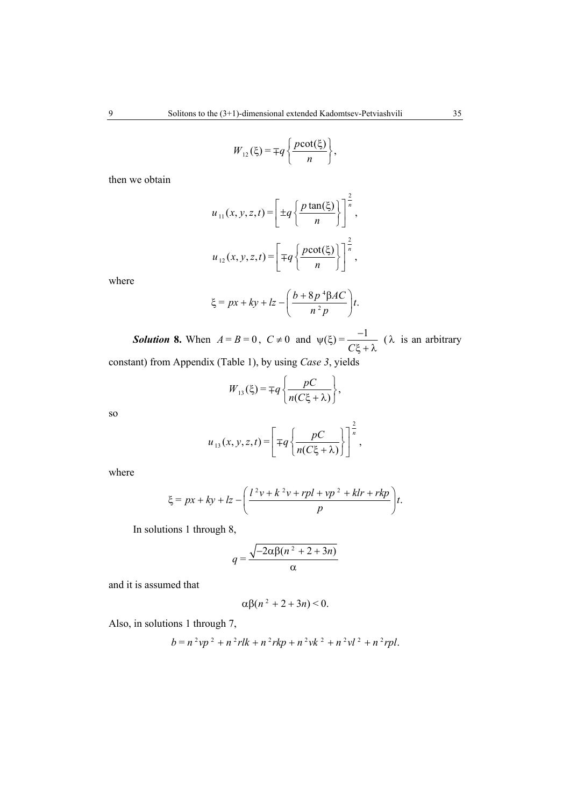$$
W_{12}(\xi) = \mp q \left\{ \frac{p \cot(\xi)}{n} \right\},\,
$$

then we obtain

$$
u_{11}(x, y, z, t) = \left[ \pm q \left\{ \frac{p \tan(\xi)}{n} \right\} \right]^{\frac{2}{n}},
$$
  

$$
u_{12}(x, y, z, t) = \left[ \mp q \left\{ \frac{p \cot(\xi)}{n} \right\} \right]^{\frac{2}{n}},
$$

where

$$
\xi = px + ky + lz - \left(\frac{b + 8p^4\beta AC}{n^2 p}\right)t.
$$

**Solution 8.** When  $A = B = 0$ ,  $C \neq 0$  and  $\psi(\xi) = \frac{-1}{C\xi + \lambda}$  ( $\lambda$  is an arbitrary constant) from Appendix (Table 1), by using *Case 3*, yields

$$
W_{13}(\xi) = \mp q \left\{ \frac{pC}{n(C\xi + \lambda)} \right\},\,
$$

so  

$$
u_{13}(x, y, z, t) = \left[ \mp q \left\{ \frac{pC}{n(C\xi + \lambda)} \right\} \right]^{\frac{2}{n}},
$$

where

$$
\xi = px + ky + Iz - \left(\frac{l^2v + k^2v + rpl + vp^2 + klr + rkp}{p}\right)t.
$$

In solutions 1 through 8,

$$
q = \frac{\sqrt{-2\alpha\beta(n^2 + 2 + 3n)}}{\alpha}
$$

and it is assumed that

$$
\alpha\beta(n^2+2+3n)\leq 0.
$$

Also, in solutions 1 through 7,

$$
b = n^{2}vp^{2} + n^{2}rlk + n^{2}rk p + n^{2}vk^{2} + n^{2}vl^{2} + n^{2}rpl.
$$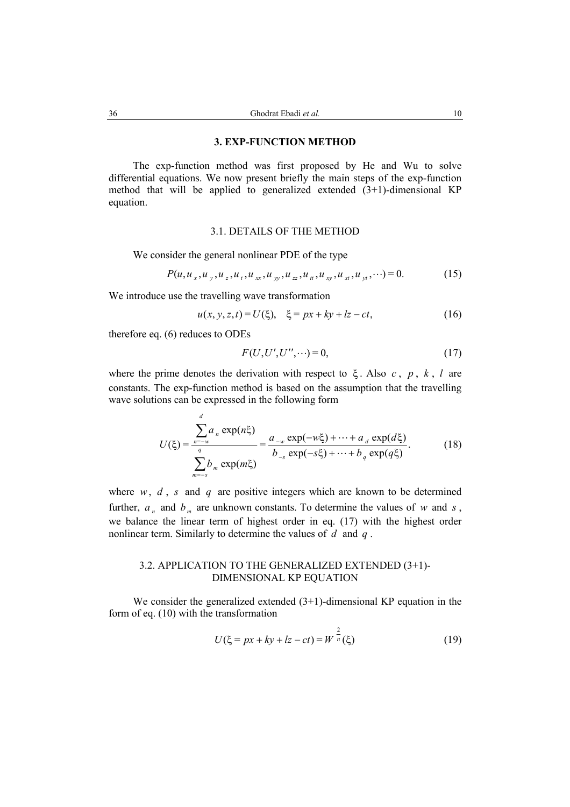#### **3. EXP-FUNCTION METHOD**

The exp-function method was first proposed by He and Wu to solve differential equations. We now present briefly the main steps of the exp-function method that will be applied to generalized extended  $(3+1)$ -dimensional KP equation.

#### 3.1. DETAILS OF THE METHOD

We consider the general nonlinear PDE of the type

$$
P(u, u_x, u_y, u_z, u_t, u_{xx}, u_{yy}, u_{zz}, u_{tt}, u_{xy}, u_{xt}, u_{yt}, \cdots) = 0.
$$
 (15)

We introduce use the travelling wave transformation

$$
u(x, y, z, t) = U(\xi), \quad \xi = px + ky + kz - ct,\tag{16}
$$

therefore eq. (6) reduces to ODEs

*d*

$$
F(U, U', U'', \cdots) = 0,\tag{17}
$$

where the prime denotes the derivation with respect to ξ . Also *c* , *p* , *k* , *l* are constants. The exp-function method is based on the assumption that the travelling wave solutions can be expressed in the following form

$$
U(\xi) = \frac{\sum_{n=-w}^{\infty} a_n \exp(n\xi)}{\sum_{m=-s}^{\infty} b_m \exp(m\xi)} = \frac{a_{-w} \exp(-w\xi) + \dots + a_d \exp(d\xi)}{b_{-s} \exp(-s\xi) + \dots + b_q \exp(q\xi)}.
$$
(18)

where  $w, d, s$  and  $q$  are positive integers which are known to be determined further,  $a_n$  and  $b_m$  are unknown constants. To determine the values of *w* and *s*, we balance the linear term of highest order in eq. (17) with the highest order nonlinear term. Similarly to determine the values of *d* and *q* .

#### 3.2. APPLICATION TO THE GENERALIZED EXTENDED (3+1)- DIMENSIONAL KP EQUATION

We consider the generalized extended  $(3+1)$ -dimensional KP equation in the form of eq. (10) with the transformation

$$
U(\xi = px + ky + lx - ct) = W^{\frac{2}{n}}(\xi)
$$
 (19)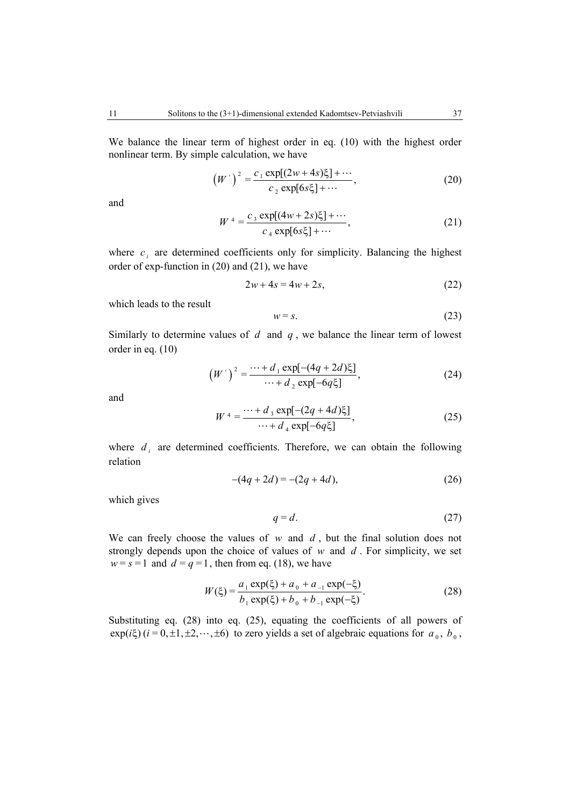We balance the linear term of highest order in eq. (10) with the highest order nonlinear term. By simple calculation, we have

$$
(W')^{2} = \frac{c_{1} \exp[(2w+4s)\xi] + \cdots}{c_{2} \exp[6s\xi] + \cdots},
$$
 (20)

and

$$
W^{4} = \frac{c_3 \exp[(4w + 2s)\xi] + \cdots}{c_4 \exp[6s\xi] + \cdots},
$$
 (21)

where  $c_i$  are determined coefficients only for simplicity. Balancing the highest order of exp-function in (20) and (21), we have

$$
2w + 4s = 4w + 2s, \tag{22}
$$

which leads to the result

$$
w = s.
$$
 (23)

Similarly to determine values of *d* and *q* , we balance the linear term of lowest order in eq. (10)

$$
(W')^{2} = \frac{\cdots + d_{1} \exp[-(4q + 2d)\xi]}{\cdots + d_{2} \exp[-6q\xi]},
$$
 (24)

and

$$
W^{4} = \frac{\cdots + d_{3} \exp[-(2q + 4d)\xi]}{\cdots + d_{4} \exp[-6q\xi]},
$$
\n(25)

where  $d_i$  are determined coefficients. Therefore, we can obtain the following relation

$$
-(4q+2d) = -(2q+4d),
$$
\n(26)

which gives

$$
q = d.\t(27)
$$

We can freely choose the values of  $w$  and  $d$ , but the final solution does not strongly depends upon the choice of values of *w* and *d* . For simplicity, we set  $w = s = 1$  and  $d = q = 1$ , then from eq. (18), we have

$$
W(\xi) = \frac{a_1 \exp(\xi) + a_0 + a_{-1} \exp(-\xi)}{b_1 \exp(\xi) + b_0 + b_{-1} \exp(-\xi)}.
$$
 (28)

Substituting eq. (28) into eq. (25), equating the coefficients of all powers of  $\exp(i\xi)$  ( $i = 0, \pm 1, \pm 2, \cdots, \pm 6$ ) to zero yields a set of algebraic equations for  $a_0, b_0$ ,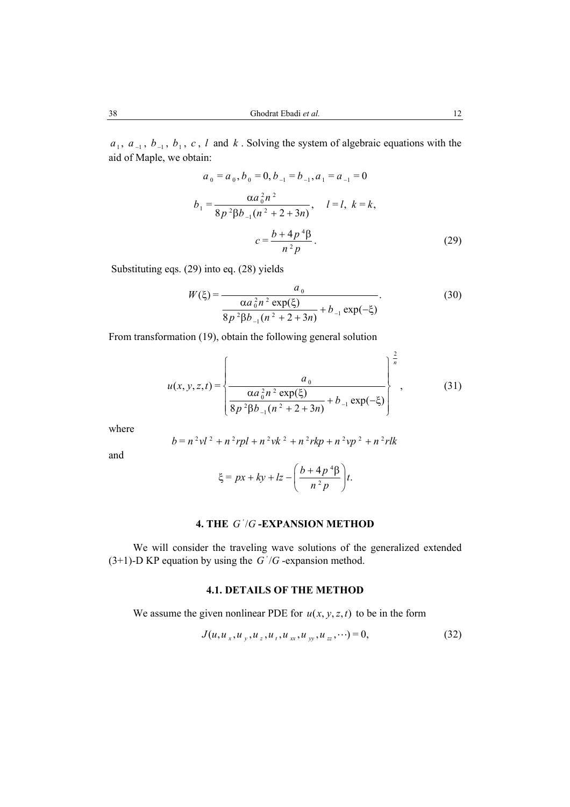$a_1, a_1, b_1, c, l$  and  $k$ . Solving the system of algebraic equations with the aid of Maple, we obtain:

$$
a_0 = a_0, b_0 = 0, b_{-1} = b_{-1}, a_1 = a_{-1} = 0
$$
  
\n
$$
b_1 = \frac{\alpha a_0^2 n^2}{8p^2 \beta b_{-1} (n^2 + 2 + 3n)}, \quad l = l, k = k,
$$
  
\n
$$
c = \frac{b + 4p^4 \beta}{n^2 p}.
$$
\n(29)

Substituting eqs. (29) into eq. (28) yields

$$
W(\xi) = \frac{a_0}{\frac{\alpha a_0^2 n^2 \exp(\xi)}{8p^2 \beta b_{-1}(n^2 + 2 + 3n)} + b_{-1} \exp(-\xi)}.
$$
 (30)

From transformation (19), obtain the following general solution

$$
u(x, y, z, t) = \left\{ \frac{a_0}{\frac{\alpha a_0^2 n^2 \exp(\xi)}{8p^2 \beta b_{-1}(n^2 + 2 + 3n)} + b_{-1} \exp(-\xi)} \right\}^{\frac{2}{n}},
$$
(31)

where  

$$
b = n^2vl^2 + n^2rpl + n^2vk^2 + n^2rkp + n^2vp^2 + n^2rlk
$$

and

$$
\xi = px + ky + lz - \left(\frac{b + 4p^4\beta}{n^2p}\right)t.
$$

# **4. THE G'/G-EXPANSION METHOD**

We will consider the traveling wave solutions of the generalized extended (3+1)-D KP equation by using the  $G'/G$ -expansion method.

# **4.1. DETAILS OF THE METHOD**

We assume the given nonlinear PDE for  $u(x, y, z, t)$  to be in the form

$$
J(u, u_x, u_y, u_z, u_t, u_{xx}, u_{yy}, u_{zz}, \cdots) = 0,
$$
\n(32)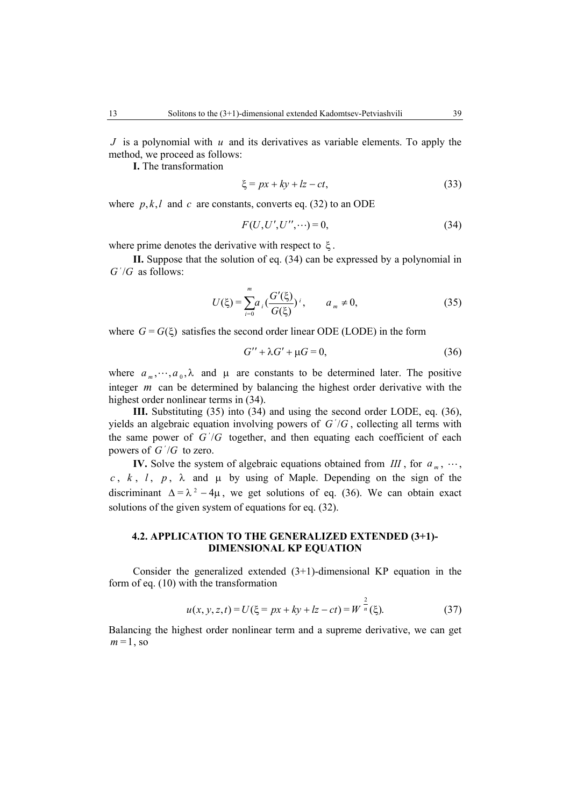*J* is a polynomial with *u* and its derivatives as variable elements. To apply the method, we proceed as follows:

**I.** The transformation

$$
\xi = px + ky + lz - ct,\tag{33}
$$

where  $p, k, l$  and *c* are constants, converts eq. (32) to an ODE

$$
F(U, U', U'', \cdots) = 0,\t(34)
$$

where prime denotes the derivative with respect to  $\xi$ .

**II.** Suppose that the solution of eq. (34) can be expressed by a polynomial in  $G'/G$  as follows:

$$
U(\xi) = \sum_{i=0}^{m} a_i \left( \frac{G'(\xi)}{G(\xi)} \right)^i, \qquad a_m \neq 0,
$$
 (35)

where  $G = G(\xi)$  satisfies the second order linear ODE (LODE) in the form

$$
G'' + \lambda G' + \mu G = 0,\t(36)
$$

where  $a_m, \dots, a_0, \lambda$  and  $\mu$  are constants to be determined later. The positive integer *m* can be determined by balancing the highest order derivative with the highest order nonlinear terms in (34).

**III.** Substituting (35) into (34) and using the second order LODE, eq. (36), yields an algebraic equation involving powers of  $G'/G$ , collecting all terms with the same power of  $G'/G$  together, and then equating each coefficient of each powers of  $G'/G$  to zero.

**IV.** Solve the system of algebraic equations obtained from *III*, for  $a_m$ ,  $\dots$ , *c*,  $k$ ,  $l$ ,  $p$ ,  $\lambda$  and  $\mu$  by using of Maple. Depending on the sign of the discriminant  $\Delta = \lambda^2 - 4\mu$ , we get solutions of eq. (36). We can obtain exact solutions of the given system of equations for eq. (32).

# **4.2. APPLICATION TO THE GENERALIZED EXTENDED (3+1)- DIMENSIONAL KP EQUATION**

Consider the generalized extended  $(3+1)$ -dimensional KP equation in the form of eq. (10) with the transformation

$$
u(x, y, z, t) = U(\xi = px + ky + kz - ct) = W^{\frac{2}{n}}(\xi).
$$
 (37)

Balancing the highest order nonlinear term and a supreme derivative, we can get  $m=1$ , so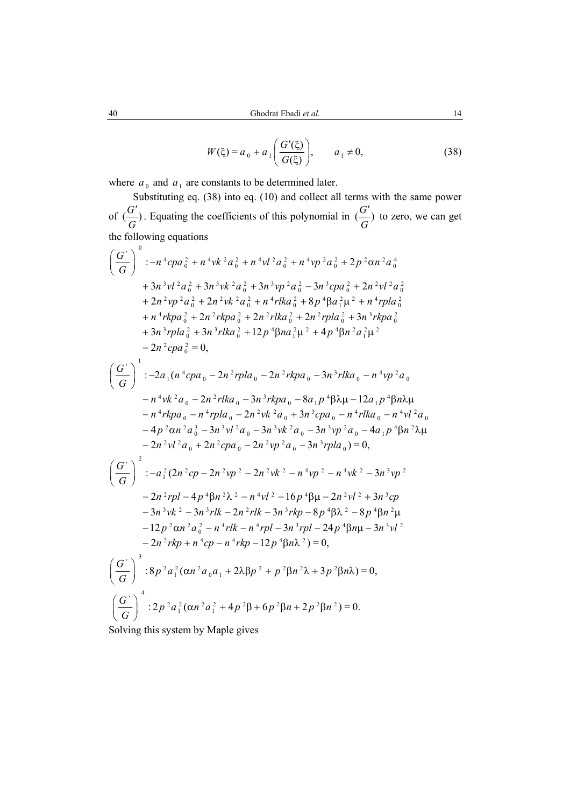$$
W(\xi) = a_0 + a_1 \left( \frac{G'(\xi)}{G(\xi)} \right), \qquad a_1 \neq 0,
$$
 (38)

where  $a_0$  and  $a_1$  are constants to be determined later.

Substituting eq. (38) into eq. (10) and collect all terms with the same power of  $\left(\frac{G'}{G}\right)$ *G*  $(\frac{G'}{G})$ . Equating the coefficients of this polynomial in  $(\frac{G'}{G})$ *G*  $\epsilon$ <sup>-</sup>) to zero, we can get the following equations

$$
\left(\frac{G'}{G}\right)^{0} : -n^{4}cpa_{0}^{2} + n^{4}vk^{2}a_{0}^{2} + n^{4}vl^{2}a_{0}^{2} + n^{4}vp^{2}a_{0}^{2} + 2p^{2}\alpha n^{2}a_{0}^{4}
$$
  
+  $3n^{3}vl^{2}a_{0}^{2} + 3n^{3}vk^{2}a_{0}^{2} + 3n^{3}vp^{2}a_{0}^{2} - 3n^{3}cpa_{0}^{2} + 2n^{2}vl^{2}a_{0}^{2}$   
+  $2n^{2}vp^{2}a_{0}^{2} + 2n^{2}vk^{2}a_{0}^{2} + n^{4}rlka_{0}^{2} + 8p^{4}\beta a_{1}^{2}\mu^{2} + n^{4}rpla_{0}^{2}$   
+  $n^{4}rkpa_{0}^{2} + 2n^{2}rkpa_{0}^{2} + 2n^{2}rlka_{0}^{2} + 2n^{2}rpla_{0}^{2} + 3n^{3}rkpa_{0}^{2}$   
+  $3n^{3}rpla_{0}^{2} + 3n^{3}rlka_{0}^{2} + 12p^{4}\beta na_{1}^{2}\mu^{2} + 4p^{4}\beta n^{2}a_{1}^{2}\mu^{2}$   
-  $2n^{2}cpa_{0}^{2} = 0$ ,  

$$
\left(\frac{G'}{G}\right)^{1} : -2a_{1}(n^{4}cpa_{0} - 2n^{2}rpla_{0} - 2n^{2}rkpa_{0} - 3n^{3}rlka_{0} - n^{4}vp^{2}a_{0}
$$
  
-  $n^{4}vk^{2}a_{0} - 2n^{2}rlka_{0} - 3n^{3}rkpa_{0} - 8a_{1}p^{4}\beta\lambda\mu - 12a_{1}p^{4}\beta n\lambda\mu$   
-  $n^{4}rkpa_{0} - n^{4}rpla_{0} - 2n^{2}vk^{2}a_{0} + 3n^{3}cpa_{0} - n^{4}rlka_{0} - n^{4}vl^{2}a_{0}$   
-  $4p^{2}\alpha n^{2}a_{0}^{3} - 3n^{3}vl^{2}a_{0} - 3n^{3}vk^{2}a_{0} - 3n^{3}vp^{2}$ 

Solving this system by Maple gives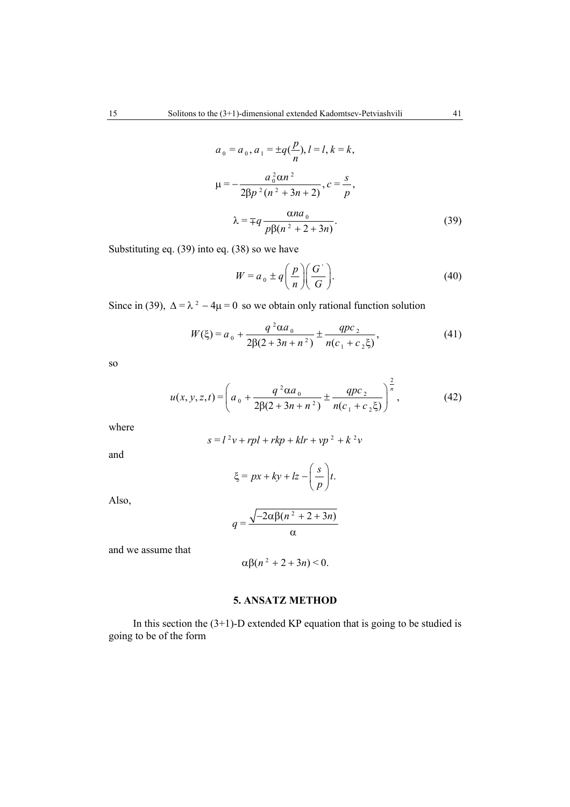$$
a_0 = a_0, a_1 = \pm q(\frac{p}{n}), l = l, k = k,
$$
  

$$
\mu = -\frac{a_0^2 \alpha n^2}{2\beta p^2 (n^2 + 3n + 2)}, c = \frac{s}{p},
$$
  

$$
\lambda = \mp q \frac{\alpha n a_0}{p \beta (n^2 + 2 + 3n)}.
$$
 (39)

Substituting eq. (39) into eq. (38) so we have

$$
W = a_0 \pm q \left(\frac{p}{n}\right) \left(\frac{G'}{G}\right). \tag{40}
$$

 $\overline{a}$ 

Since in (39),  $\Delta = \lambda^2 - 4\mu = 0$  so we obtain only rational function solution

$$
W(\xi) = a_0 + \frac{q^2 \alpha a_0}{2\beta(2 + 3n + n^2)} \pm \frac{qpc_2}{n(c_1 + c_2 \xi)},
$$
\n(41)

so

$$
u(x, y, z, t) = \left(a_0 + \frac{q^2 \alpha a_0}{2\beta(2 + 3n + n^2)} \pm \frac{qpc_2}{n(c_1 + c_2 \xi)}\right)^{\frac{2}{n}},
$$
(42)

where  

$$
s = l^2v + rpl + rkp + klr + vp^2 + k^2v
$$

and

$$
\xi = px + ky + lz - \left(\frac{s}{p}\right)t.
$$

Also,

$$
q = \frac{\sqrt{-2\alpha\beta(n^2 + 2 + 3n)}}{\alpha}
$$

and we assume that

$$
\alpha\beta(n^2+2+3n)\leq 0.
$$

## **5. ANSATZ METHOD**

In this section the  $(3+1)$ -D extended KP equation that is going to be studied is going to be of the form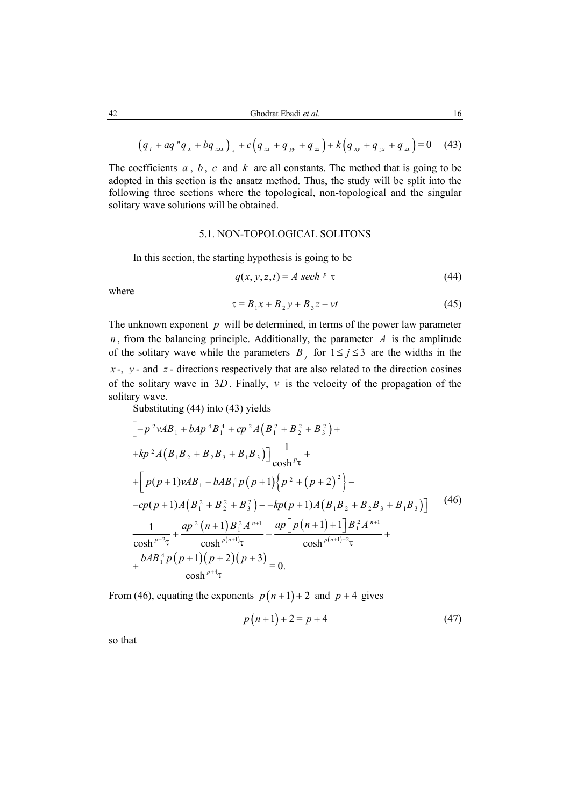$$
(q_{t} + aq^{n}q_{x} + bq_{xx})_{x} + c(q_{xx} + q_{yy} + q_{zz}) + k(q_{xy} + q_{yz} + q_{zx}) = 0 \quad (43)
$$

The coefficients  $a, b, c$  and  $k$  are all constants. The method that is going to be adopted in this section is the ansatz method. Thus, the study will be split into the following three sections where the topological, non-topological and the singular solitary wave solutions will be obtained.

#### 5.1. NON-TOPOLOGICAL SOLITONS

In this section, the starting hypothesis is going to be

$$
q(x, y, z, t) = A \, \, sech^p \, \tau \tag{44}
$$

where

$$
\tau = B_1 x + B_2 y + B_3 z - vt \tag{45}
$$

The unknown exponent *p* will be determined, in terms of the power law parameter  $n$ , from the balancing principle. Additionally, the parameter  $A$  is the amplitude of the solitary wave while the parameters  $B_i$  for  $1 \le j \le 3$  are the widths in the  $x -$ ,  $y -$  and  $z -$  directions respectively that are also related to the direction cosines of the solitary wave in 3*D* . Finally, *v* is the velocity of the propagation of the solitary wave.

Substituting (44) into (43) yields

$$
\left[-p^{2}vAB_{1} + bAp^{4}B_{1}^{4} + cp^{2}A(B_{1}^{2} + B_{2}^{2} + B_{3}^{2}) ++kp^{2}A(B_{1}B_{2} + B_{2}B_{3} + B_{1}B_{3})\right]\frac{1}{\cosh^{p}\tau} ++ \left[p(p+1)vAB_{1} - bAB_{1}^{4}p(p+1)\left\{p^{2} + (p+2)^{2}\right\}--cp(p+1)A(B_{1}^{2} + B_{2}^{2} + B_{3}^{2}) - -kp(p+1)A(B_{1}B_{2} + B_{2}B_{3} + B_{1}B_{3})\right]
$$
(46)  

$$
\frac{1}{\cosh^{p+2}\tau} + \frac{ap^{2}(n+1)B_{1}^{2}A^{n+1}}{\cosh^{p(n+1)}\tau} - \frac{ap[p(n+1)+1]B_{1}^{2}A^{n+1}}{\cosh^{p(n+1)+2}\tau} ++ \frac{bAB_{1}^{4}p(p+1)(p+2)(p+3)}{\cosh^{p+4}\tau} = 0.
$$

From (46), equating the exponents  $p(n+1) + 2$  and  $p + 4$  gives

$$
p(n+1) + 2 = p + 4 \tag{47}
$$

so that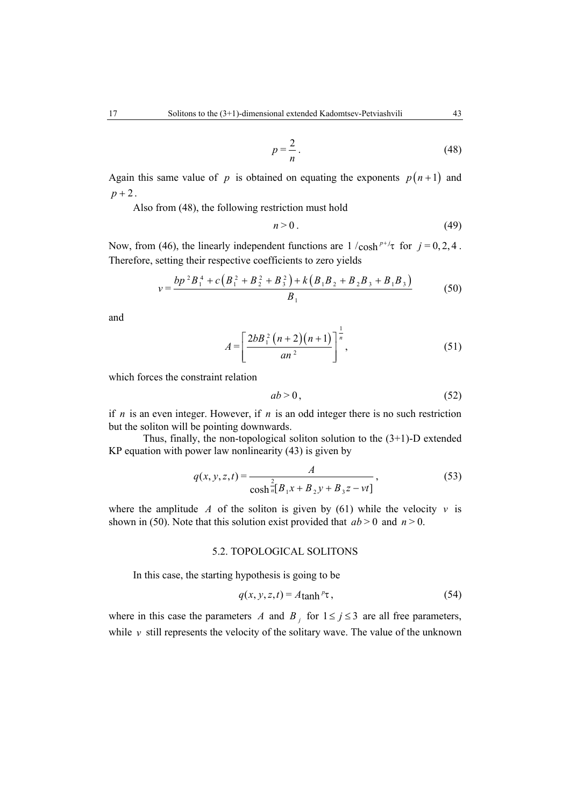$$
p = \frac{2}{n} \tag{48}
$$

Again this same value of *p* is obtained on equating the exponents  $p(n+1)$  and  $p + 2$ .

Also from (48), the following restriction must hold

$$
n > 0. \tag{49}
$$

Now, from (46), the linearly independent functions are  $1 / \cosh^{p+j} \tau$  for  $j = 0, 2, 4$ . Therefore, setting their respective coefficients to zero yields

$$
v = \frac{bp^{2}B_{1}^{4} + c\left(B_{1}^{2} + B_{2}^{2} + B_{3}^{2}\right) + k\left(B_{1}B_{2} + B_{2}B_{3} + B_{1}B_{3}\right)}{B_{1}}
$$
(50)

and

$$
A = \left[\frac{2bB_1^2(n+2)(n+1)}{an^2}\right]^{\frac{1}{n}},
$$
\n(51)

which forces the constraint relation

$$
ab > 0, \tag{52}
$$

if *n* is an even integer. However, if *n* is an odd integer there is no such restriction but the soliton will be pointing downwards.

Thus, finally, the non-topological soliton solution to the  $(3+1)$ -D extended KP equation with power law nonlinearity (43) is given by

$$
q(x, y, z, t) = \frac{A}{\cosh \frac{2}{n} [B_1 x + B_2 y + B_3 z - vt]},
$$
\n(53)

where the amplitude *A* of the soliton is given by (61) while the velocity  $v$  is shown in (50). Note that this solution exist provided that  $ab > 0$  and  $n > 0$ .

#### 5.2. TOPOLOGICAL SOLITONS

In this case, the starting hypothesis is going to be

$$
q(x, y, z, t) = A \tanh^{p} \tau,
$$
\n(54)

where in this case the parameters *A* and  $B_i$  for  $1 \le j \le 3$  are all free parameters, while *v* still represents the velocity of the solitary wave. The value of the unknown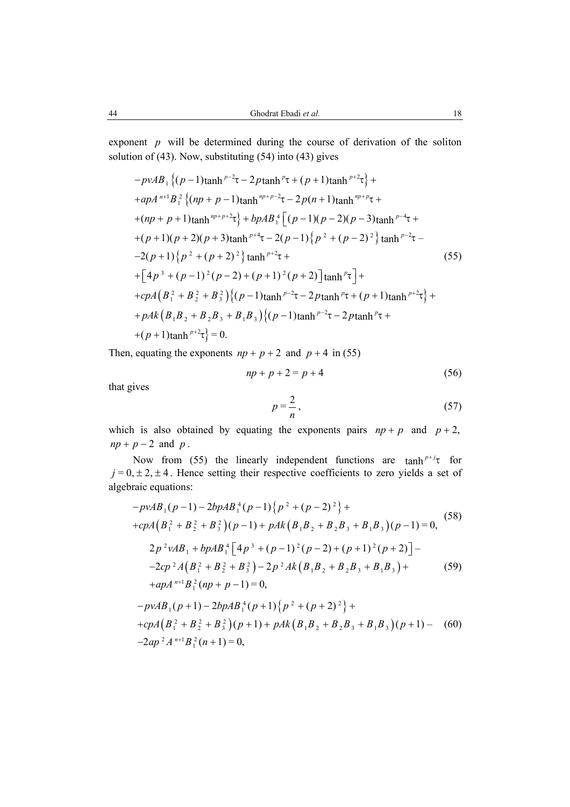exponent *p* will be determined during the course of derivation of the soliton solution of (43). Now, substituting (54) into (43) gives

$$
-p\mathcal{V}AB_{1}\{(p-1)\tanh^{p-2}\tau-2p\tanh^{p}\tau+(p+1)\tanh^{p+2}\tau\}++apA^{n+1}B_{1}^{2}\{(np+p-1)\tanh^{np+p-2}\tau-2p(n+1)\tanh^{np+p}\tau++(np+p+1)\tanh^{np+p+2}\tau\}+bpAB_{1}^{4}[(p-1)(p-2)(p-3)\tanh^{p-4}\tau++ (p+1)(p+2)(p+3)\tanh^{p+4}\tau-2(p-1)\{p^{2}+(p-2)^{2}\}\tanh^{p-2}\tau--2(p+1)\{p^{2}+(p+2)^{2}\}\tanh^{p+2}\tau++[4p^{3}+(p-1)^{2}(p-2)+(p+1)^{2}(p+2)]\tanh^{p}\tau]++cpA(B_{1}^{2}+B_{2}^{2}+B_{3}^{2})\{(p-1)\tanh^{p-2}\tau-2p\tanh^{p}\tau+(p+1)\tanh^{p+2}\tau\}++pAk(B_{1}B_{2}+B_{2}B_{3}+B_{1}B_{3})\{(p-1)\tanh^{p-2}\tau-2p\tanh^{p}\tau++(p+1)\tanh^{p+2}\tau\}=0.
$$

Then, equating the exponents  $np + p + 2$  and  $p + 4$  in (55)

$$
np + p + 2 = p + 4 \tag{56}
$$

that gives

$$
p = \frac{2}{n},\tag{57}
$$

which is also obtained by equating the exponents pairs  $np + p$  and  $p + 2$ ,  $np + p - 2$  and *p*.

Now from (55) the linearly independent functions are  $\tanh^{p+j}\tau$  for  $j = 0, \pm 2, \pm 4$ . Hence setting their respective coefficients to zero yields a set of algebraic equations:

$$
-p\mathbf{v}AB_{1}(p-1) - 2bpAB_{1}^{4}(p-1)\{p^{2} + (p-2)^{2}\} ++ cpA\left(B_{1}^{2} + B_{2}^{2} + B_{3}^{2}\right)(p-1) + pAk\left(B_{1}B_{2} + B_{2}B_{3} + B_{1}B_{3}\right)(p-1) = 0,
$$
(58)  

$$
2p^{2}\mathbf{v}AB_{1} + bpAB_{1}^{4}\left[4p^{3} + (p-1)^{2}(p-2) + (p+1)^{2}(p+2)\right] --2cp^{2}A\left(B_{1}^{2} + B_{2}^{2} + B_{3}^{2}\right) - 2p^{2}Ak\left(B_{1}B_{2} + B_{2}B_{3} + B_{1}B_{3}\right) ++ apA^{n+1}B_{1}^{2}(np+p-1) = 0,
$$
  

$$
-p\mathbf{v}AB_{1}(p+1) - 2bpAB_{1}^{4}(p+1)\{p^{2} + (p+2)^{2}\} ++ cpA\left(B_{1}^{2} + B_{2}^{2} + B_{3}^{2}\right)(p+1) + pAk\left(B_{1}B_{2} + B_{2}B_{3} + B_{1}B_{3}\right)(p+1) - (60)
$$
  

$$
-2ap^{2}A^{n+1}B_{1}^{2}(n+1) = 0,
$$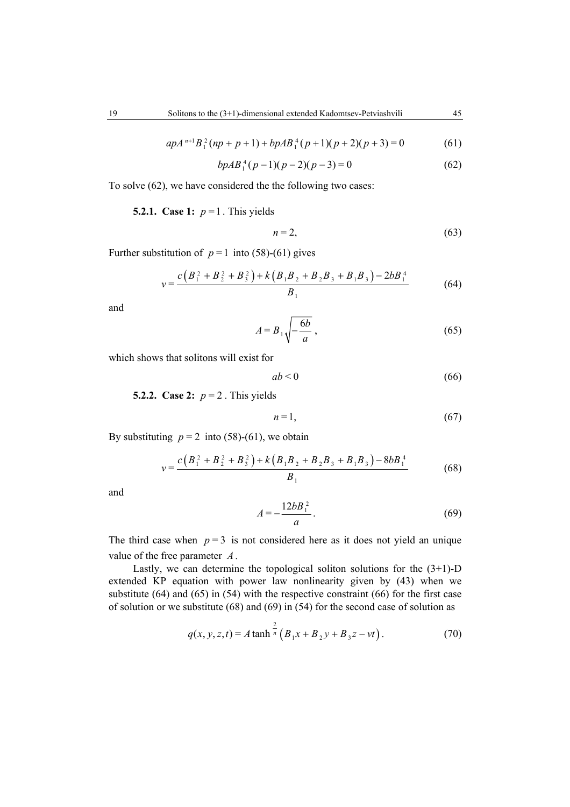$$
apA^{n+1}B_1^2(np+p+1)+bpAB_1^4(p+1)(p+2)(p+3)=0
$$
 (61)

$$
bpAB_1^4(p-1)(p-2)(p-3) = 0 \tag{62}
$$

To solve (62), we have considered the the following two cases:

**5.2.1.** Case 1:  $p = 1$ . This yields

$$
n=2,\tag{63}
$$

Further substitution of  $p = 1$  into (58)-(61) gives

$$
v = \frac{c(B_1^2 + B_2^2 + B_3^2) + k(B_1B_2 + B_2B_3 + B_1B_3) - 2bB_1^4}{B_1}
$$
(64)

and

$$
A = B_1 \sqrt{-\frac{6b}{a}},\tag{65}
$$

which shows that solitons will exist for

$$
ab < 0 \tag{66}
$$

**5.2.2. Case 2:**  $p = 2$ . This yields

$$
n=1,\tag{67}
$$

By substituting  $p = 2$  into (58)-(61), we obtain

$$
v = \frac{c(B_1^2 + B_2^2 + B_3^2) + k(B_1B_2 + B_2B_3 + B_1B_3) - 8bB_1^4}{B_1}
$$
 (68)

and 
$$
A = -\frac{12bB_1^2}{a}.
$$
 (69)

The third case when  $p = 3$  is not considered here as it does not yield an unique value of the free parameter *A*.

Lastly, we can determine the topological soliton solutions for the  $(3+1)$ -D extended KP equation with power law nonlinearity given by (43) when we substitute (64) and (65) in (54) with the respective constraint (66) for the first case of solution or we substitute (68) and (69) in (54) for the second case of solution as

$$
q(x, y, z, t) = A \tanh^{\frac{2}{n}} (B_1 x + B_2 y + B_3 z - vt).
$$
 (70)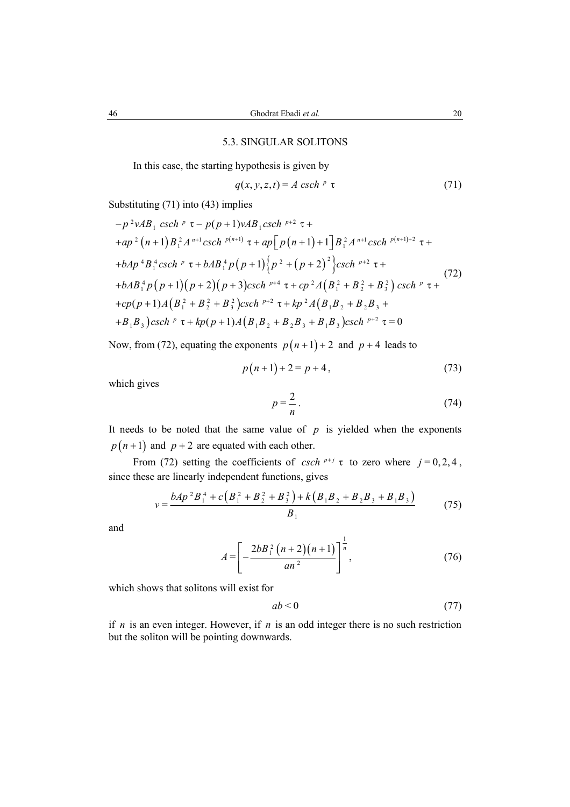#### 5.3. SINGULAR SOLITONS

In this case, the starting hypothesis is given by

$$
q(x, y, z, t) = A \operatorname{csch}^p \tau \tag{71}
$$

Substituting (71) into (43) implies

$$
-p^{2}vAB_{1} \cosh^{p} \tau - p(p+1)vAB_{1}csch^{p+2} \tau +
$$
  
+ap<sup>2</sup> (n+1) B<sub>1</sub><sup>2</sup> A<sup>n+1</sup> csch <sup>p(n+1)</sup>  $\tau$  + ap<sup>[</sup> p(n+1) + 1] B<sub>1</sub><sup>2</sup> A<sup>n+1</sup> csch <sup>p(n+1)+2</sup>  $\tau$  +  
+bAp<sup>4</sup>B<sub>1</sub><sup>4</sup> csch <sup>p</sup>  $\tau$  + bAB<sub>1</sub><sup>4</sup> p(p+1) {p<sup>2</sup> + (p+2)<sup>2</sup>}csch^{p+2}  $\tau$  +  
+bAB<sub>1</sub><sup>4</sup> p(p+1)(p+2)(p+3)csch <sup>p+4</sup>  $\tau$  + cp<sup>2</sup> A (B<sub>1</sub><sup>2</sup> + B<sub>2</sub><sup>2</sup> + B<sub>3</sub><sup>2</sup>) csch <sup>p</sup>  $\tau$  +  
+cp(p+1) A (B<sub>1</sub><sup>2</sup> + B<sub>2</sub><sup>2</sup> + B<sub>3</sub><sup>2</sup>)csch <sup>p+2</sup>  $\tau$  + kp<sup>2</sup> A (B<sub>1</sub>B<sub>2</sub> + B<sub>2</sub>B<sub>3</sub> +  
+B<sub>1</sub>B<sub>3</sub>)csch <sup>p</sup>  $\tau$  + kp(p+1) A (B<sub>1</sub>B<sub>2</sub> + B<sub>2</sub>B<sub>3</sub> + B<sub>1</sub>B<sub>3</sub>)csch <sup>p+2</sup>  $\tau$  = 0

Now, from (72), equating the exponents  $p(n+1) + 2$  and  $p + 4$  leads to

$$
p(n+1) + 2 = p + 4,
$$
\n(73)

which gives

$$
p = \frac{2}{n} \tag{74}
$$

It needs to be noted that the same value of  $p$  is yielded when the exponents  $p(n+1)$  and  $p+2$  are equated with each other.

From (72) setting the coefficients of *csch*  $p+j \tau$  to zero where  $j=0,2,4$ , since these are linearly independent functions, gives

$$
v = \frac{bAp^2B_1^4 + c\left(B_1^2 + B_2^2 + B_3^2\right) + k\left(B_1B_2 + B_2B_3 + B_1B_3\right)}{B_1}
$$
(75)

and

$$
A = \left[ -\frac{2bB_1^2 (n+2)(n+1)}{an^2} \right]^{\frac{1}{n}},
$$
 (76)

which shows that solitons will exist for

$$
ab < 0 \tag{77}
$$

if  $n$  is an even integer. However, if  $n$  is an odd integer there is no such restriction but the soliton will be pointing downwards.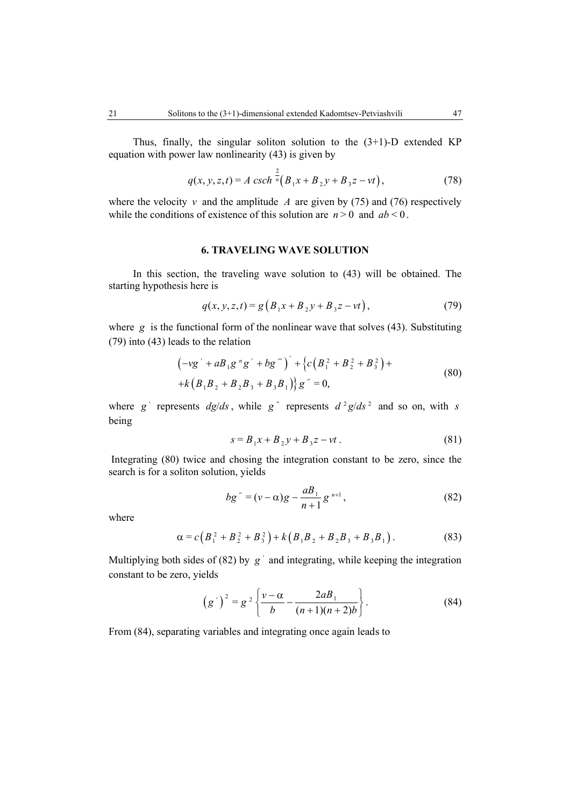Thus, finally, the singular soliton solution to the  $(3+1)$ -D extended KP equation with power law nonlinearity (43) is given by

$$
q(x, y, z, t) = A \operatorname{csch}^{\frac{2}{n}}(B_1x + B_2y + B_3z - vt),
$$
 (78)

where the velocity  $v$  and the amplitude  $A$  are given by (75) and (76) respectively while the conditions of existence of this solution are  $n > 0$  and  $ab < 0$ .

#### **6. TRAVELING WAVE SOLUTION**

In this section, the traveling wave solution to (43) will be obtained. The starting hypothesis here is

$$
q(x, y, z, t) = g\left(B_1x + B_2y + B_3z - vt\right),\tag{79}
$$

where *g* is the functional form of the nonlinear wave that solves (43). Substituting (79) into (43) leads to the relation

$$
\begin{aligned} & \left( -vg' + aB_1g''g' + bg''' \right)' + \left\{ c\left(B_1^2 + B_2^2 + B_3^2\right) + \right. \\ & \left. + k\left(B_1B_2 + B_2B_3 + B_3B_1\right) \right\}g'' = 0, \end{aligned} \tag{80}
$$

where  $g'$  represents  $dg/ds$ , while  $g''$  represents  $d^2g/ds^2$  and so on, with *s* being

$$
s = B_1 x + B_2 y + B_3 z - vt.
$$
 (81)

 Integrating (80) twice and chosing the integration constant to be zero, since the search is for a soliton solution, yields

$$
bg'' = (v - \alpha)g - \frac{aB_1}{n+1}g^{n+1},
$$
\n(82)

where

$$
\alpha = c\left(B_1^2 + B_2^2 + B_3^2\right) + k\left(B_1B_2 + B_2B_3 + B_3B_1\right). \tag{83}
$$

Multiplying both sides of (82) by  $g'$  and integrating, while keeping the integration constant to be zero, yields

$$
(g')^{2} = g^{2} \left\{ \frac{v - \alpha}{b} - \frac{2aB_{1}}{(n+1)(n+2)b} \right\}.
$$
 (84)

From (84), separating variables and integrating once again leads to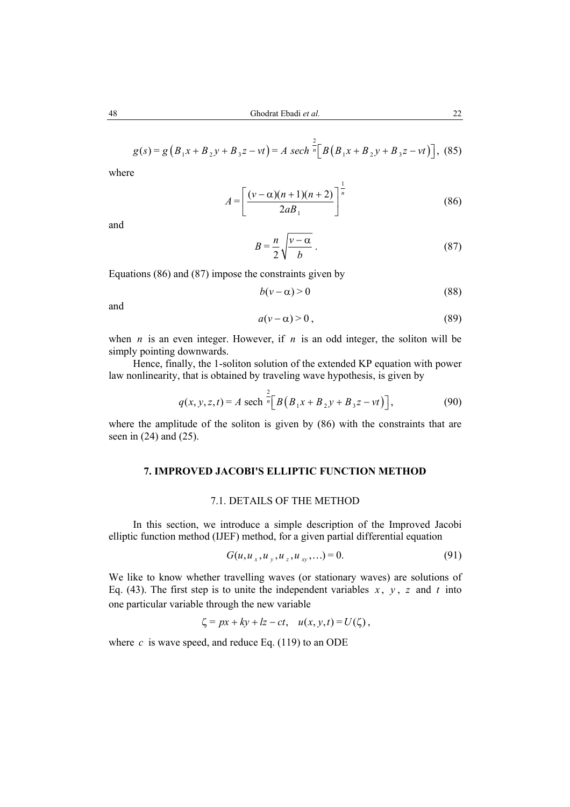$$
g(s) = g\left(B_1x + B_2y + B_3z - vt\right) = A \ sech^{\frac{2}{n}}\Big[B\left(B_1x + B_2y + B_3z - vt\right)\Big],\tag{85}
$$

where  

$$
A = \left[ \frac{(\nu - \alpha)(n+1)(n+2)}{2aB_1} \right]^{\frac{1}{n}}
$$
(86)

and

$$
B = \frac{n}{2} \sqrt{\frac{v - \alpha}{b}} \ . \tag{87}
$$

Equations (86) and (87) impose the constraints given by

$$
b(v - \alpha) > 0 \tag{88}
$$

and

$$
a(\nu - \alpha) > 0, \tag{89}
$$

when  $n$  is an even integer. However, if  $n$  is an odd integer, the soliton will be simply pointing downwards.

Hence, finally, the 1-soliton solution of the extended KP equation with power law nonlinearity, that is obtained by traveling wave hypothesis, is given by

$$
q(x, y, z, t) = A \text{ sech} \left[ \frac{2}{n} \left[ B \left( B_1 x + B_2 y + B_3 z - vt \right) \right], \right]
$$
(90)

where the amplitude of the soliton is given by (86) with the constraints that are seen in (24) and (25).

# **7. IMPROVED JACOBI'S ELLIPTIC FUNCTION METHOD**

#### 7.1. DETAILS OF THE METHOD

In this section, we introduce a simple description of the Improved Jacobi elliptic function method (IJEF) method, for a given partial differential equation

$$
G(u, u_x, u_y, u_z, u_{xy}, \ldots) = 0.
$$
\n(91)

We like to know whether travelling waves (or stationary waves) are solutions of Eq. (43). The first step is to unite the independent variables  $x$ ,  $y$ ,  $z$  and  $t$  into one particular variable through the new variable

$$
\zeta = px + ky + kz - ct, \quad u(x, y, t) = U(\zeta),
$$

where  $c$  is wave speed, and reduce Eq. (119) to an ODE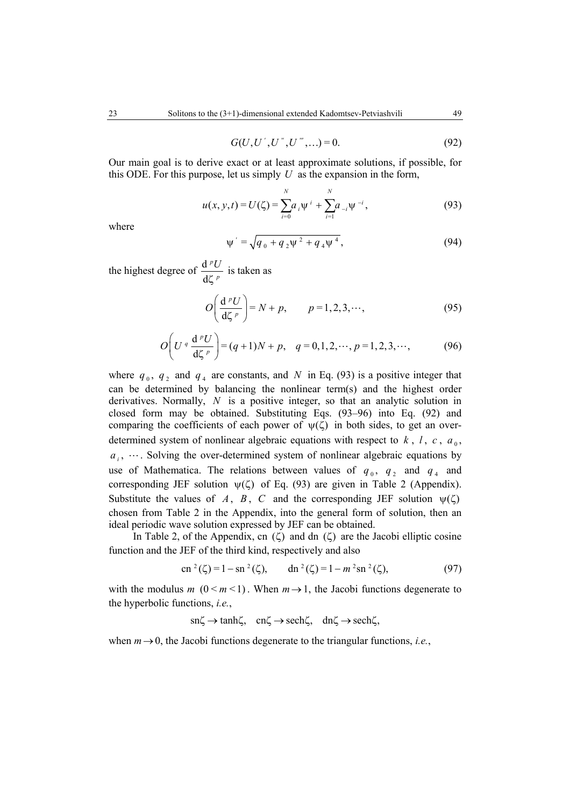$$
G(U, U', U'', U''', \ldots) = 0. \tag{92}
$$

Our main goal is to derive exact or at least approximate solutions, if possible, for this ODE. For this purpose, let us simply *U* as the expansion in the form,

$$
u(x, y, t) = U(\zeta) = \sum_{i=0}^{N} a_i \psi^{i} + \sum_{i=1}^{N} a_{-i} \psi^{-i},
$$
\n(93)

where

$$
\psi' = \sqrt{q_0 + q_2 \psi^2 + q_4 \psi^4},\tag{94}
$$

the highest degree of  $\frac{d}{dx}$ d *p p U* ζ is taken as

$$
O\left(\frac{\mathrm{d}^p U}{\mathrm{d}\zeta^p}\right) = N + p, \qquad p = 1, 2, 3, \cdots,
$$
\n(95)

$$
O\left(U^q \frac{d^p U}{d\zeta^p}\right) = (q+1)N + p, \quad q = 0, 1, 2, \cdots, p = 1, 2, 3, \cdots,
$$
 (96)

where  $q_0$ ,  $q_2$  and  $q_4$  are constants, and *N* in Eq. (93) is a positive integer that can be determined by balancing the nonlinear term(s) and the highest order derivatives. Normally, *N* is a positive integer, so that an analytic solution in closed form may be obtained. Substituting Eqs. (93–96) into Eq. (92) and comparing the coefficients of each power of  $\psi(\zeta)$  in both sides, to get an overdetermined system of nonlinear algebraic equations with respect to  $k$ ,  $l$ ,  $c$ ,  $a<sub>0</sub>$ ,  $a_i$ ,  $\dots$  Solving the over-determined system of nonlinear algebraic equations by use of Mathematica. The relations between values of  $q_0$ ,  $q_2$  and  $q_4$  and corresponding JEF solution  $\psi(\zeta)$  of Eq. (93) are given in Table 2 (Appendix). Substitute the values of *A*, *B*, *C* and the corresponding JEF solution  $\psi(\zeta)$ chosen from Table 2 in the Appendix, into the general form of solution, then an ideal periodic wave solution expressed by JEF can be obtained.

In Table 2, of the Appendix, cn  $(\zeta)$  and dn  $(\zeta)$  are the Jacobi elliptic cosine function and the JEF of the third kind, respectively and also

$$
\text{cn}^2(\zeta) = 1 - \text{sn}^2(\zeta), \qquad \text{dn}^2(\zeta) = 1 - m^2 \text{sn}^2(\zeta), \tag{97}
$$

with the modulus *m* ( $0 \le m \le 1$ ). When  $m \to 1$ , the Jacobi functions degenerate to the hyperbolic functions, *i.e.*,

 $\text{sn}\zeta \to \text{tanh}\zeta$ ,  $\text{cn}\zeta \to \text{sech}\zeta$ ,  $\text{dn}\zeta \to \text{sech}\zeta$ ,

when  $m \rightarrow 0$ , the Jacobi functions degenerate to the triangular functions, *i.e.*,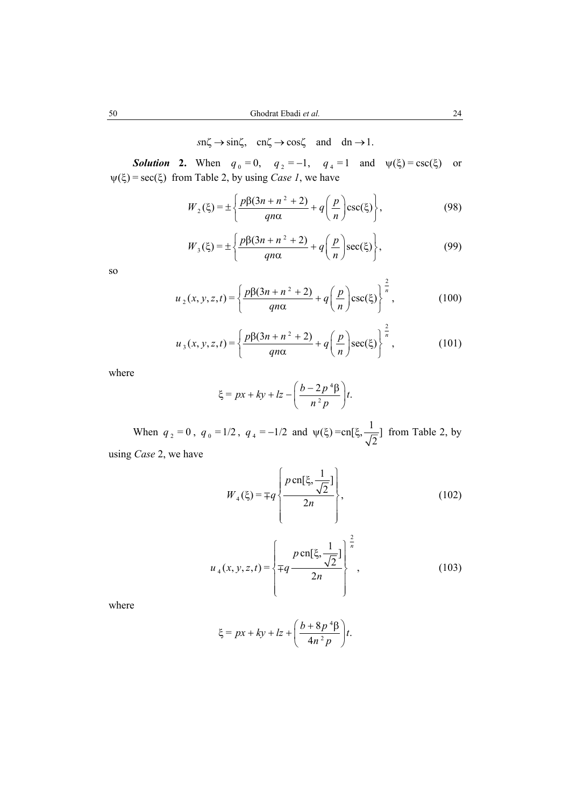# $sn\zeta \rightarrow sin\zeta$ ,  $cn\zeta \rightarrow cos\zeta$  and dn  $\rightarrow 1$ .

**Solution 2.** When  $q_0 = 0$ ,  $q_2 = -1$ ,  $q_4 = 1$  and  $\psi(\xi) = \csc(\xi)$  or  $\psi(\xi) = \sec(\xi)$  from Table 2, by using *Case 1*, we have

$$
W_2(\xi) = \pm \left\{ \frac{p\beta(3n + n^2 + 2)}{qn\alpha} + q\left(\frac{p}{n}\right) \csc(\xi) \right\},\tag{98}
$$

$$
W_3(\xi) = \pm \left\{ \frac{p\beta(3n + n^2 + 2)}{qn\alpha} + q\left(\frac{p}{n}\right) \sec(\xi) \right\},\tag{99}
$$

so  

$$
u_2(x, y, z, t) = \left\{ \frac{p\beta(3n + n^2 + 2)}{qn\alpha} + q\left(\frac{p}{n}\right) \csc(\xi) \right\}^{\frac{2}{n}},
$$
(100)

$$
u_3(x, y, z, t) = \left\{ \frac{p\beta(3n + n^2 + 2)}{qn\alpha} + q\left(\frac{p}{n}\right) \sec(\xi) \right\}^{\frac{2}{n}},
$$
 (101)

where

$$
\xi = px + ky + lz - \left(\frac{b - 2p^4\beta}{n^2p}\right)t.
$$

When  $q_2 = 0$ ,  $q_0 = 1/2$ ,  $q_4 = -1/2$  and  $\psi(\xi) = cn[\xi, \frac{1}{\sqrt{2}}]$  from Table 2, by

using 
$$
Case\ 2
$$
, we have

$$
W_4(\xi) = \mp q \left\{ \frac{p \operatorname{cn}[\xi, \frac{1}{\sqrt{2}}]}{2n} \right\},\tag{102}
$$

$$
u_4(x, y, z, t) = \left\{ \mp q \frac{p \operatorname{cn}[\xi, \frac{1}{\sqrt{2}}]}{2n} \right\}^{\frac{2}{n}},
$$
 (103)

where

$$
\xi = px + ky + lz + \left(\frac{b + 8p^4\beta}{4n^2p}\right)t.
$$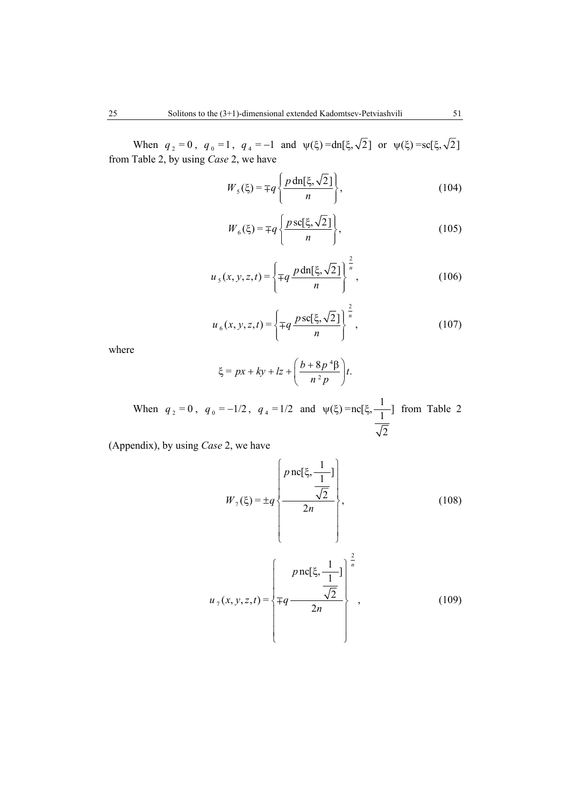When  $q_2 = 0$ ,  $q_0 = 1$ ,  $q_4 = -1$  and  $\psi(\xi) = dn[\xi, \sqrt{2}]$  or  $\psi(\xi) = sc[\xi, \sqrt{2}]$ from Table 2, by using *Case* 2, we have

$$
W_5(\xi) = \mp q \left\{ \frac{p \operatorname{dn}[\xi, \sqrt{2}]}{n} \right\},\tag{104}
$$

$$
W_6(\xi) = \mp q \left\{ \frac{p \operatorname{sc}[\xi, \sqrt{2}]}{n} \right\},\tag{105}
$$

$$
u_{s}(x, y, z, t) = \left\{ \mp q \, \frac{p \, \text{dn}[\xi, \sqrt{2}]}{n} \right\}^{\frac{2}{n}},\tag{106}
$$

$$
u_{6}(x, y, z, t) = \left\{ \mp q \, \frac{p \, \text{sc}[\xi, \sqrt{2}]}{n} \right\}^{\frac{2}{n}},\tag{107}
$$

where

$$
\xi = px + ky + lz + \left(\frac{b + 8p^4\beta}{n^2p}\right)t.
$$

When  $q_2 = 0$ ,  $q_0 = -1/2$ ,  $q_4 = 1/2$  and  $\psi(\xi) = nc[\xi, \frac{1}{1}]$ 2  $\psi(\xi)$  =nc[ $\xi$ ,  $\frac{1}{1}$ ] from Table 2

(Appendix), by using *Case* 2, we have

$$
W_{7}(\xi) = \pm q \left\{ \frac{p \operatorname{nc}[\xi, \frac{1}{\sqrt{2}}]}{2n} \right\},
$$
\n(108)\n  
\n
$$
u_{7}(x, y, z, t) = \left\{ \mp q \frac{p \operatorname{nc}[\xi, \frac{1}{\sqrt{2}}]}{2n} \right\},
$$
\n(109)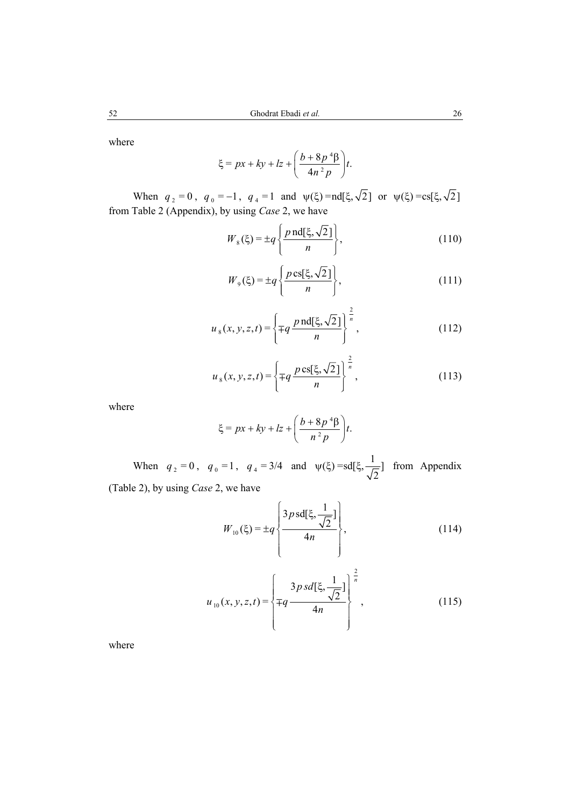where

$$
\xi = px + ky + lz + \left(\frac{b + 8p^4\beta}{4n^2p}\right)t.
$$

When  $q_2 = 0$ ,  $q_0 = -1$ ,  $q_4 = 1$  and  $\psi(\xi) = \text{nd}[\xi, \sqrt{2}]$  or  $\psi(\xi) = \text{cs}[\xi, \sqrt{2}]$ from Table 2 (Appendix), by using *Case* 2, we have

$$
W_8(\xi) = \pm q \left\{ \frac{p \operatorname{nd}[\xi, \sqrt{2}]}{n} \right\},\tag{110}
$$

$$
W_9(\xi) = \pm q \left\{ \frac{p \operatorname{cs}[\xi, \sqrt{2}]}{n} \right\},\tag{111}
$$

$$
u_{s}(x, y, z, t) = \left\{ \mp q \, \frac{p \, \text{nd}[\xi, \sqrt{2}]}{n} \right\}^{\frac{2}{n}},\tag{112}
$$

$$
u_{8}(x, y, z, t) = \left\{ \mp q \, \frac{p \, \text{cs}[\xi, \sqrt{2}]}{n} \right\}^{\frac{2}{n}},\tag{113}
$$

where

$$
\xi = px + ky + lz + \left(\frac{b + 8p^4\beta}{n^2p}\right)t.
$$

When  $q_2 = 0$ ,  $q_0 = 1$ ,  $q_4 = 3/4$  and  $\psi(\xi) = sd[\xi, \frac{1}{\sqrt{2}}]$  from Appendix (Table 2), by using *Case* 2, we have

$$
W_{10}(\xi) = \pm q \left\{ \frac{3p \,\text{sd}[\xi, \frac{1}{\sqrt{2}}]}{4n} \right\},\tag{114}
$$

$$
u_{10}(x, y, z, t) = \left\{\mp q \frac{3p \, sd[\xi, \frac{1}{\sqrt{2}}]}{4n}\right\}^{\frac{2}{n}},\tag{115}
$$

where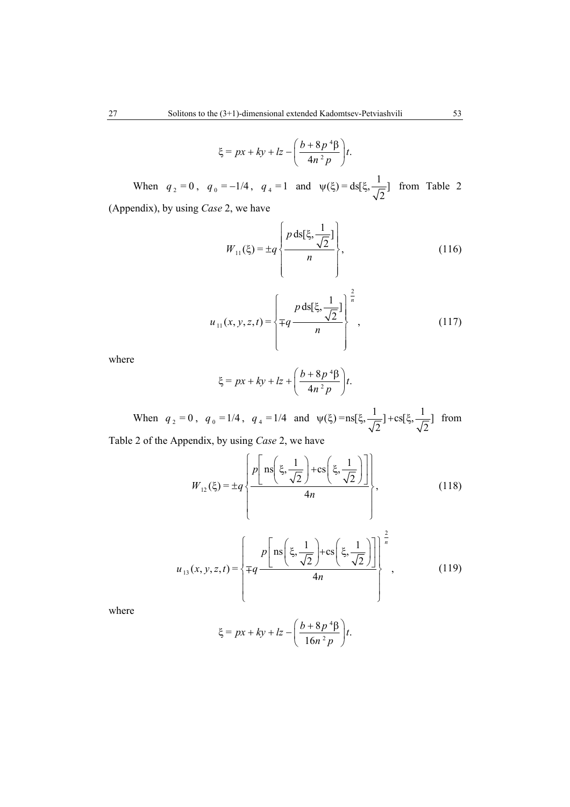$$
\xi = px + ky + lz - \left(\frac{b + 8p^4\beta}{4n^2p}\right)t.
$$

When  $q_2 = 0$ ,  $q_0 = -1/4$ ,  $q_4 = 1$  and  $\psi(\xi) = ds[\xi, \frac{1}{\sqrt{2}}]$  from Table 2

(Appendix), by using *Case* 2, we have

$$
W_{11}(\xi) = \pm q \left\{ \frac{p \, ds[\xi, \frac{1}{\sqrt{2}}]}{n} \right\},\tag{116}
$$

$$
u_{11}(x, y, z, t) = \left\{ \mp q \frac{p \, ds[\xi, \frac{1}{\sqrt{2}}]}{n} \right\}^{\frac{2}{n}},\tag{117}
$$

where

$$
\xi = px + ky + lz + \left(\frac{b + 8p^4\beta}{4n^2p}\right)t.
$$

When  $q_2 = 0$ ,  $q_0 = 1/4$ ,  $q_4 = 1/4$  and  $\psi(\xi) = \text{ns}[\xi, \frac{1}{\sqrt{2}}] + \text{cs}[\xi, \frac{1}{\sqrt{2}}]$  from Table 2 of the Appendix, by using *Case* 2, we have

$$
\left[ p \left[ \text{ns}(\xi, \frac{1}{n}) + \text{cs}(\xi, \frac{1}{n}) \right] \right]
$$

$$
W_{12}(\xi) = \pm q \left\{ \frac{p \left[ \text{ns}\left(\xi, \frac{1}{\sqrt{2}}\right) + \text{cs}\left(\xi, \frac{1}{\sqrt{2}}\right) \right]}{4n} \right\},\tag{118}
$$

$$
u_{13}(x, y, z, t) = \left\{\mp q \frac{p \left[ \text{ns}\left(\xi, \frac{1}{\sqrt{2}}\right) + \text{cs}\left(\xi, \frac{1}{\sqrt{2}}\right) \right] \right\}^{\frac{2}{n}}}{4n},\tag{119}
$$

where

$$
\xi = px + ky + lz - \left(\frac{b + 8p^4\beta}{16n^2p}\right)t.
$$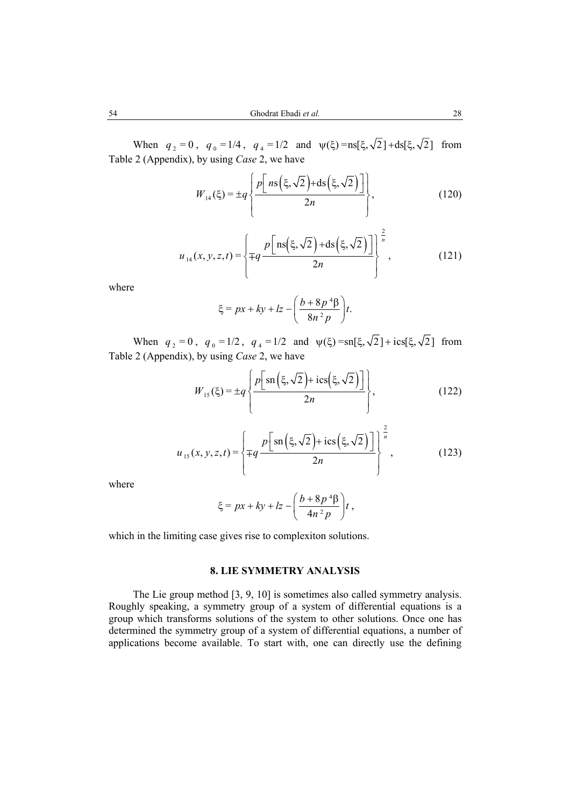When  $q_2 = 0$ ,  $q_0 = 1/4$ ,  $q_4 = 1/2$  and  $\psi(\xi) = \text{ns}[\xi, \sqrt{2}] + \text{ds}[\xi, \sqrt{2}]$  from Table 2 (Appendix), by using *Case* 2, we have

$$
W_{14}(\xi) = \pm q \left\{ \frac{p \left[ n s \left( \xi, \sqrt{2} \right) + ds \left( \xi, \sqrt{2} \right) \right]}{2n} \right\},
$$
\n(120)

$$
u_{14}(x, y, z, t) = \left\{ \mp q \frac{p \left[ \text{ns}(\xi, \sqrt{2}) + \text{ds}(\xi, \sqrt{2}) \right]}{2n} \right\}^{\frac{2}{n}},
$$
(121)

where

$$
\xi = px + ky + lz - \left(\frac{b + 8p^4\beta}{8n^2p}\right)t.
$$

When  $q_2 = 0$ ,  $q_0 = 1/2$ ,  $q_4 = 1/2$  and  $\psi(\xi) = \frac{\sin[\xi, \sqrt{2}] + \cos[\xi, \sqrt{2}]}{\sin[\xi, \sqrt{2}]}$  from Table 2 (Appendix), by using *Case* 2, we have

$$
W_{15}(\xi) = \pm q \left\{ \frac{p \left[ \text{sn} \left( \xi, \sqrt{2} \right) + \text{ics} \left( \xi, \sqrt{2} \right) \right]}{2n} \right\},\tag{122}
$$

$$
u_{15}(x, y, z, t) = \left\{ \mp q \frac{p \left[ sn \left( \xi, \sqrt{2} \right) + ics \left( \xi, \sqrt{2} \right) \right]}{2n} \right\}^{\frac{2}{n}},
$$
(123)

where

$$
\xi = px + ky + lz - \left(\frac{b + 8p^4\beta}{4n^2p}\right)t,
$$

which in the limiting case gives rise to complexiton solutions.

## **8. LIE SYMMETRY ANALYSIS**

The Lie group method [3, 9, 10] is sometimes also called symmetry analysis. Roughly speaking, a symmetry group of a system of differential equations is a group which transforms solutions of the system to other solutions. Once one has determined the symmetry group of a system of differential equations, a number of applications become available. To start with, one can directly use the defining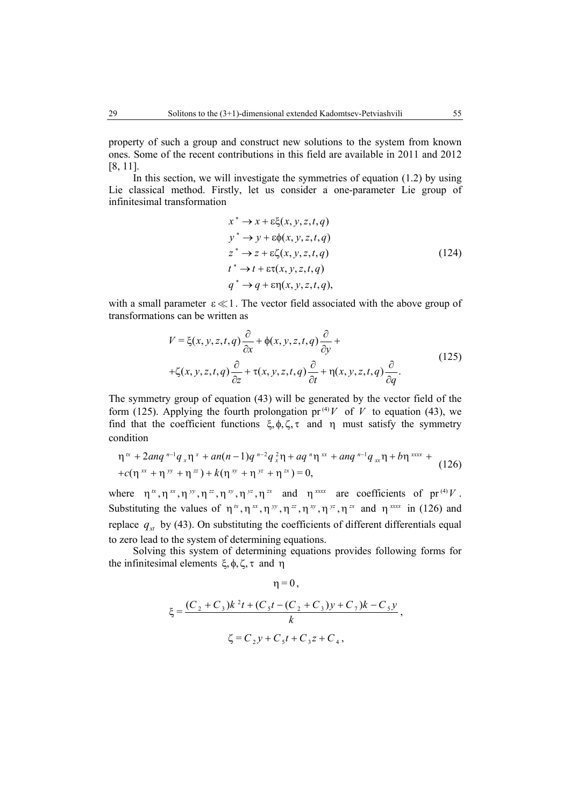property of such a group and construct new solutions to the system from known ones. Some of the recent contributions in this field are available in 2011 and 2012 [8, 11].

In this section, we will investigate the symmetries of equation (1.2) by using Lie classical method. Firstly, let us consider a one-parameter Lie group of infinitesimal transformation

$$
x^* \rightarrow x + \varepsilon \xi(x, y, z, t, q)
$$
  
\n
$$
y^* \rightarrow y + \varepsilon \phi(x, y, z, t, q)
$$
  
\n
$$
z^* \rightarrow z + \varepsilon \zeta(x, y, z, t, q)
$$
  
\n
$$
t^* \rightarrow t + \varepsilon \tau(x, y, z, t, q)
$$
  
\n
$$
q^* \rightarrow q + \varepsilon \eta(x, y, z, t, q),
$$
\n(124)

with a small parameter  $\epsilon \ll 1$ . The vector field associated with the above group of transformations can be written as

$$
V = \xi(x, y, z, t, q) \frac{\partial}{\partial x} + \phi(x, y, z, t, q) \frac{\partial}{\partial y} +
$$
  
+ $\zeta(x, y, z, t, q) \frac{\partial}{\partial z} + \tau(x, y, z, t, q) \frac{\partial}{\partial t} + \eta(x, y, z, t, q) \frac{\partial}{\partial q}.$  (125)

The symmetry group of equation (43) will be generated by the vector field of the form (125). Applying the fourth prolongation pr<sup>(4)</sup>*V* of *V* to equation (43), we find that the coefficient functions  $\xi, \phi, \zeta, \tau$  and  $\eta$  must satisfy the symmetry condition

$$
\eta^{ix} + 2anq^{n-1}q_x \eta^x + an(n-1)q^{n-2}q_x^2 \eta + aq^n \eta^{ix} + anq^{n-1}q_x \eta + b\eta^{ix} \tau +
$$
  
+
$$
c(\eta^{ix} + \eta^{y} + \eta^{z}) + k(\eta^{xy} + \eta^{yz} + \eta^{zx}) = 0,
$$
 (126)

where  $\eta^{\alpha}, \eta^{\alpha}, \eta^{\gamma y}, \eta^{\gamma z}, \eta^{\gamma y}, \eta^{\gamma z}, \eta^{\gamma x}$  and  $\eta^{\gamma \alpha x}$  are coefficients of pr<sup>(4)</sup>*V*. Substituting the values of  $\eta^x, \eta^x, \eta^y, \eta^{zz}, \eta^y, \eta^{yz}, \eta^{zx}$  and  $\eta^{xxxx}$  in (126) and replace  $q_{xt}$  by (43). On substituting the coefficients of different differentials equal to zero lead to the system of determining equations.

Solving this system of determining equations provides following forms for the infinitesimal elements  $\xi$ ,  $\phi$ ,  $\zeta$ ,  $\tau$  and  $\eta$ 

$$
\eta = 0,
$$
  
\n
$$
\xi = \frac{(C_2 + C_3)k^2t + (C_5t - (C_2 + C_3)y + C_7)k - C_5y}{k},
$$
  
\n
$$
\zeta = C_2y + C_5t + C_3z + C_4,
$$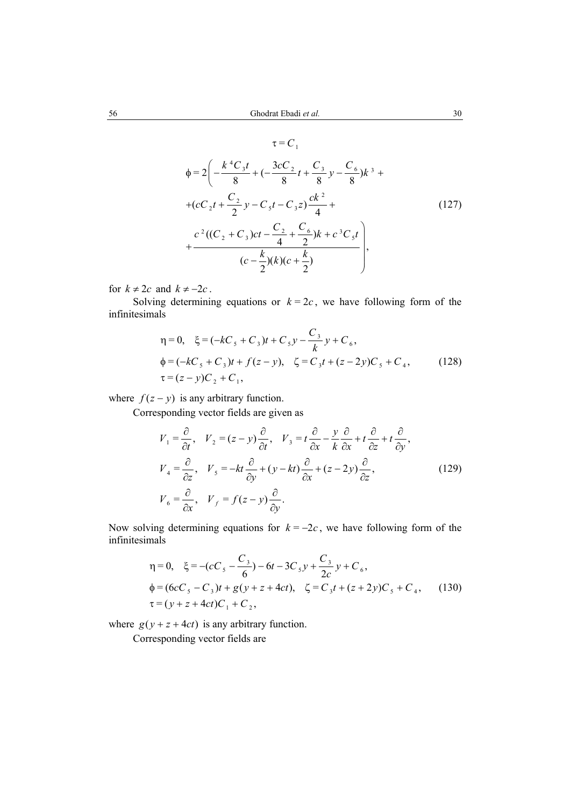$\tau = C_1$ 

$$
\begin{aligned}\n\phi &= 2\bigg(-\frac{k^4C_3t}{8} + \big(-\frac{3cC_2}{8}t + \frac{C_3}{8}y - \frac{C_6}{8}\big)k^3 + \\
&+ (cC_2t + \frac{C_2}{2}y - C_5t - C_3z)\frac{ck^2}{4} + \\
&+ \frac{c^2((C_2 + C_3)ct - \frac{C_2}{4} + \frac{C_6}{2})k + c^3C_5t}{(c - \frac{k}{2})(k)(c + \frac{k}{2})}\bigg),\n\end{aligned}
$$
\n(127)

for  $k \neq 2c$  and  $k \neq -2c$ .

Solving determining equations or  $k = 2c$ , we have following form of the infinitesimals

$$
\eta = 0, \quad \xi = (-kC_s + C_3)t + C_s y - \frac{C_3}{k} y + C_6,
$$
  
\n
$$
\phi = (-kC_s + C_3)t + f(z - y), \quad \zeta = C_3 t + (z - 2y)C_5 + C_4,
$$
 (128)  
\n
$$
\tau = (z - y)C_2 + C_1,
$$

where  $f(z - y)$  is any arbitrary function.

Corresponding vector fields are given as

$$
V_1 = \frac{\partial}{\partial t}, \quad V_2 = (z - y)\frac{\partial}{\partial t}, \quad V_3 = t\frac{\partial}{\partial x} - \frac{y}{k}\frac{\partial}{\partial x} + t\frac{\partial}{\partial z} + t\frac{\partial}{\partial y},
$$
  
\n
$$
V_4 = \frac{\partial}{\partial z}, \quad V_5 = -kt\frac{\partial}{\partial y} + (y - kt)\frac{\partial}{\partial x} + (z - 2y)\frac{\partial}{\partial z},
$$
  
\n
$$
V_6 = \frac{\partial}{\partial x}, \quad V_f = f(z - y)\frac{\partial}{\partial y}.
$$
\n(129)

Now solving determining equations for  $k = -2c$ , we have following form of the infinitesimals

$$
\eta = 0, \quad \xi = -(cC_s - \frac{C_3}{6}) - 6t - 3C_s y + \frac{C_3}{2c} y + C_6,
$$
  
\n
$$
\phi = (6cC_s - C_3)t + g(y + z + 4ct), \quad \zeta = C_3t + (z + 2y)C_5 + C_4,
$$
 (130)  
\n
$$
\tau = (y + z + 4ct)C_1 + C_2,
$$

where  $g(y + z + 4ct)$  is any arbitrary function.

Corresponding vector fields are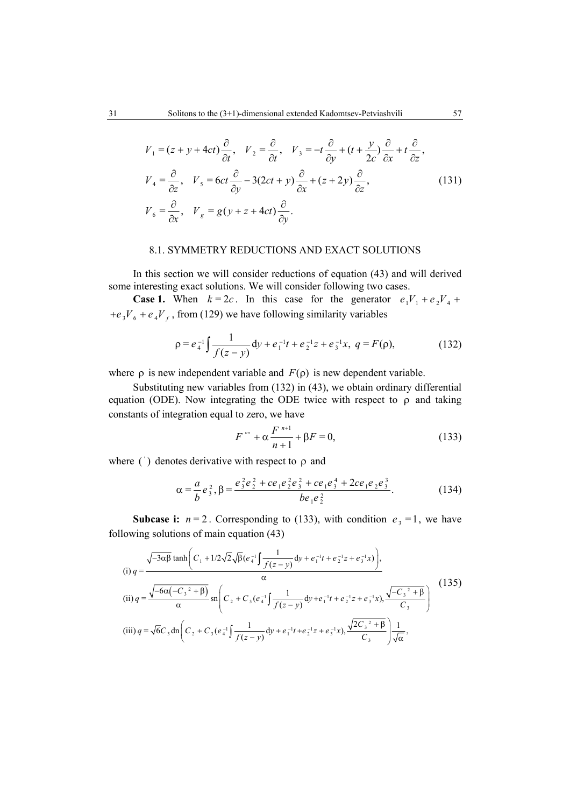$$
V_1 = (z + y + 4ct)\frac{\partial}{\partial t}, \quad V_2 = \frac{\partial}{\partial t}, \quad V_3 = -t\frac{\partial}{\partial y} + (t + \frac{y}{2c})\frac{\partial}{\partial x} + t\frac{\partial}{\partial z},
$$
  
\n
$$
V_4 = \frac{\partial}{\partial z}, \quad V_5 = 6ct\frac{\partial}{\partial y} - 3(2ct + y)\frac{\partial}{\partial x} + (z + 2y)\frac{\partial}{\partial z},
$$
  
\n
$$
V_6 = \frac{\partial}{\partial x}, \quad V_g = g(y + z + 4ct)\frac{\partial}{\partial y}.
$$
\n(131)

#### 8.1. SYMMETRY REDUCTIONS AND EXACT SOLUTIONS

In this section we will consider reductions of equation (43) and will derived some interesting exact solutions. We will consider following two cases.

**Case 1.** When  $k = 2c$ . In this case for the generator  $e_1V_1 + e_2V_4 +$  $+e_3V_6 + e_4V_f$ , from (129) we have following similarity variables

$$
\rho = e_4^{-1} \int \frac{1}{f(z - y)} dy + e_1^{-1} t + e_2^{-1} z + e_3^{-1} x, \ q = F(\rho), \tag{132}
$$

where  $\rho$  is new independent variable and  $F(\rho)$  is new dependent variable.

Substituting new variables from (132) in (43), we obtain ordinary differential equation (ODE). Now integrating the ODE twice with respect to  $\rho$  and taking constants of integration equal to zero, we have

$$
F^{\prime\prime\prime\prime} + \alpha \frac{F^{\prime\prime+1}}{n+1} + \beta F = 0, \tag{133}
$$

where  $'$ ) denotes derivative with respect to  $\rho$  and

$$
\alpha = \frac{a}{b}e_3^2, \beta = \frac{e_3^2e_2^2 + ce_1e_2^2e_3^2 + ce_1e_3^4 + 2ce_1e_2e_3^3}{be_1e_2^2}.
$$
 (134)

**Subcase i:**  $n=2$ . Corresponding to (133), with condition  $e_3 = 1$ , we have following solutions of main equation (43)

$$
(i) q = \frac{\sqrt{-3\alpha\beta} \tanh\left(C_1 + 1/2\sqrt{2}\sqrt{\beta}(e_4^{-1}\int \frac{1}{f(z-y)}dy + e_1^{-1}t + e_2^{-1}z + e_3^{-1}x)\right)}{\alpha},
$$
  
\n(ii)  $q = \frac{\sqrt{-6\alpha(-C_3^{-2} + \beta)}}{\alpha} \operatorname{sn}\left(C_2 + C_3(e_4^{-1}\int \frac{1}{f(z-y)}dy + e_1^{-1}t + e_2^{-1}z + e_3^{-1}x), \frac{\sqrt{-C_3^{-2} + \beta}}{C_3}\right)$   
\n(iii)  $q = \sqrt{6}C_3 \operatorname{dn}\left(C_2 + C_3(e_4^{-1}\int \frac{1}{f(z-y)}dy + e_1^{-1}t + e_2^{-1}z + e_3^{-1}x), \frac{\sqrt{2}C_3^{-2} + \beta}{C_3}\right)\frac{1}{\sqrt{\alpha}},$  (135)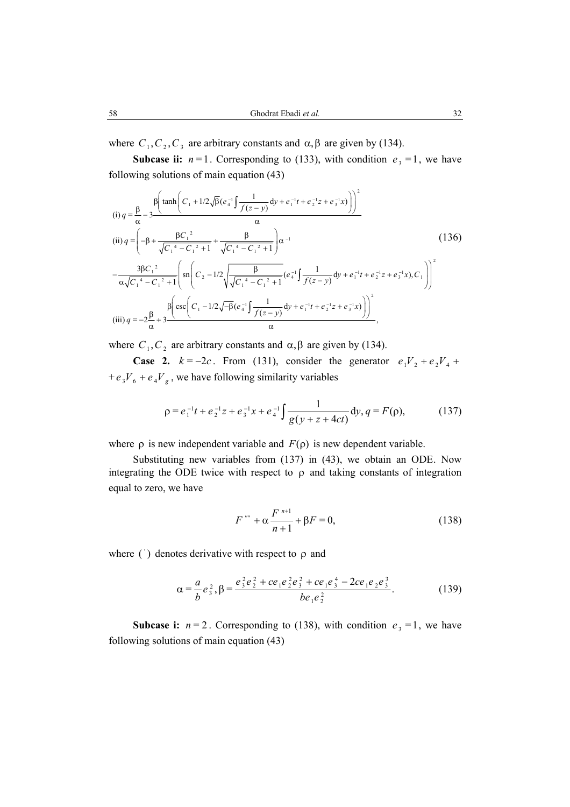where  $C_1, C_2, C_3$  are arbitrary constants and  $\alpha, \beta$  are given by (134).

**Subcase ii:**  $n=1$ . Corresponding to (133), with condition  $e_3 = 1$ , we have following solutions of main equation (43)

(i) 
$$
q = \frac{\beta}{\alpha} - 3 \frac{\beta \left(\tanh\left(C_1 + 1/2\sqrt{\beta}(e_4^{-1}\int \frac{1}{f(z-y)} dy + e_1^{-1}t + e_2^{-1}z + e_3^{-1}x)\right)\right)^2}{\alpha}
$$
  
\n(ii)  $q = \left(-\beta + \frac{\beta C_1^2}{\sqrt{C_1^4 - C_1^2 + 1}} + \frac{\beta}{\sqrt{C_1^4 - C_1^2 + 1}}\right)\alpha^{-1}$   
\n
$$
-\frac{3\beta C_1^2}{\alpha\sqrt{C_1^4 - C_1^2 + 1}} \left(\operatorname{sn}\left(C_2 - 1/2\sqrt{\frac{\beta}{\sqrt{C_1^4 - C_1^2 + 1}}}(e_4^{-1}\int \frac{1}{f(z-y)} dy + e_1^{-1}t + e_2^{-1}z + e_3^{-1}x), C_1\right)\right)^2
$$
\n(iii)  $q = -2\frac{\beta}{\alpha} + 3 \frac{\beta \left(\operatorname{csc}\left(C_1 - 1/2\sqrt{-\beta}(e_4^{-1}\int \frac{1}{f(z-y)} dy + e_1^{-1}t + e_2^{-1}z + e_3^{-1}x)\right)\right)^2}{\alpha}$ 

where  $C_1, C_2$  are arbitrary constants and  $\alpha, \beta$  are given by (134).

**Case 2.**  $k = -2c$ . From (131), consider the generator  $e_1V_2 + e_2V_4 +$ +  $e_3V_6 + e_4V_8$ , we have following similarity variables

$$
\rho = e_1^{-1}t + e_2^{-1}z + e_3^{-1}x + e_4^{-1} \int \frac{1}{g(y + z + 4ct)} dy, q = F(\rho),
$$
 (137)

where  $\rho$  is new independent variable and  $F(\rho)$  is new dependent variable.

Substituting new variables from (137) in (43), we obtain an ODE. Now integrating the ODE twice with respect to  $\rho$  and taking constants of integration equal to zero, we have

$$
F''' + \alpha \frac{F^{n+1}}{n+1} + \beta F = 0,
$$
 (138)

where  $'$ ) denotes derivative with respect to  $\rho$  and

$$
\alpha = \frac{a}{b}e_3^2, \beta = \frac{e_3^2e_2^2 + ce_1e_2^2e_3^2 + ce_1e_3^4 - 2ce_1e_2e_3^3}{be_1e_2^2}.
$$
 (139)

**Subcase i:**  $n=2$ . Corresponding to (138), with condition  $e_3 = 1$ , we have following solutions of main equation (43)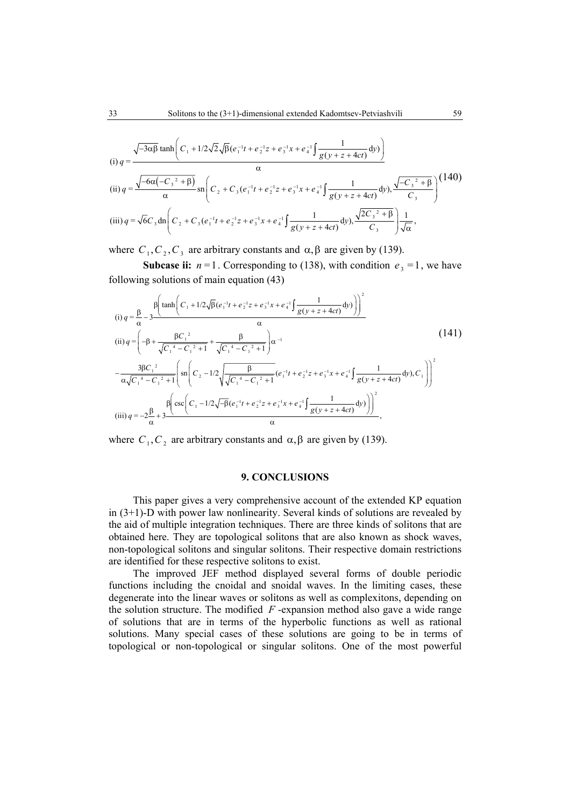(i) 
$$
q = \frac{\sqrt{-3\alpha\beta} \tanh\left(C_1 + 1/2\sqrt{2}\sqrt{\beta}(e_1^{-1}t + e_2^{-1}z + e_3^{-1}x + e_4^{-1}\int \frac{1}{g(y+z+4ct)}dy)\right)}{\alpha}
$$
  
\n(ii)  $q = \frac{\sqrt{-6\alpha(-C_3^{-2} + \beta)}}{\alpha} \operatorname{sn}\left(C_2 + C_3(e_1^{-1}t + e_2^{-1}z + e_3^{-1}x + e_4^{-1}\int \frac{1}{g(y+z+4ct)}dy)\right), \frac{\sqrt{-C_3^{-2} + \beta}}{C_3}\right)$   
\n(iii)  $q = \sqrt{6}C_3 \operatorname{dn}\left(C_2 + C_3(e_1^{-1}t + e_2^{-1}z + e_3^{-1}x + e_4^{-1}\int \frac{1}{g(y+z+4ct)}dy)\right), \frac{\sqrt{2C_3^{-2} + \beta}}{C_3}\right)\frac{1}{\sqrt{\alpha}},$ 

where  $C_1, C_2, C_3$  are arbitrary constants and  $\alpha, \beta$  are given by (139).

**Subcase ii:**  $n=1$ . Corresponding to (138), with condition  $e_3 = 1$ , we have following solutions of main equation (43)

(i) 
$$
q = \frac{\beta}{\alpha} - 3 \frac{\beta \left(\tanh\left(C_1 + 1/2\sqrt{\beta}(e_1^{-1}t + e_2^{-1}z + e_3^{-1}x + e_4^{-1}\int \frac{1}{g(y+z+4ct)}dy)\right)\right)^2}{\alpha}
$$
  
\n(ii)  $q = \left(-\beta + \frac{\beta C_1^{-2}}{\sqrt{C_1^4 - C_1^2 + 1}} + \frac{\beta}{\sqrt{C_1^4 - C_1^2 + 1}}\right)\alpha^{-1}$   
\n
$$
-\frac{3\beta C_1^2}{\alpha\sqrt{C_1^4 - C_1^2 + 1}} \left(\operatorname{sn}\left(C_2 - 1/2\sqrt{\frac{\beta}{\sqrt{C_1^4 - C_1^2 + 1}}}(e_1^{-1}t + e_2^{-1}z + e_3^{-1}x + e_4^{-1}\int \frac{1}{g(y+z+4ct)}dy), C_1\right)\right)^2
$$
\n(iii)  $q = -2\frac{\beta}{\alpha} + 3 \frac{\beta \left(\operatorname{csc}\left(C_1 - 1/2\sqrt{-\beta}(e_1^{-1}t + e_2^{-1}z + e_3^{-1}x + e_4^{-1}\int \frac{1}{g(y+z+4ct)}dy)\right)\right)^2}{\alpha},$ \n(iii)  $q = -2\frac{\beta}{\alpha} + 3 \frac{\beta \left(\operatorname{csc}\left(C_1 - 1/2\sqrt{-\beta}(e_1^{-1}t + e_2^{-1}z + e_3^{-1}x + e_4^{-1}\int \frac{1}{g(y+z+4ct)}dy)\right)\right)^2}{\alpha},$ 

where  $C_1, C_2$  are arbitrary constants and  $\alpha, \beta$  are given by (139).

#### **9. CONCLUSIONS**

This paper gives a very comprehensive account of the extended KP equation in (3+1)-D with power law nonlinearity. Several kinds of solutions are revealed by the aid of multiple integration techniques. There are three kinds of solitons that are obtained here. They are topological solitons that are also known as shock waves, non-topological solitons and singular solitons. Their respective domain restrictions are identified for these respective solitons to exist.

The improved JEF method displayed several forms of double periodic functions including the cnoidal and snoidal waves. In the limiting cases, these degenerate into the linear waves or solitons as well as complexitons, depending on the solution structure. The modified  $F$ -expansion method also gave a wide range of solutions that are in terms of the hyperbolic functions as well as rational solutions. Many special cases of these solutions are going to be in terms of topological or non-topological or singular solitons. One of the most powerful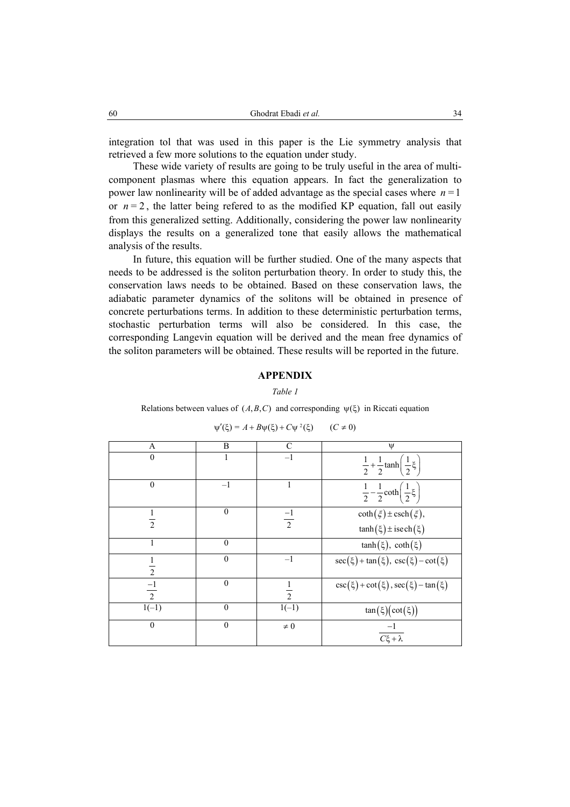integration tol that was used in this paper is the Lie symmetry analysis that retrieved a few more solutions to the equation under study.

These wide variety of results are going to be truly useful in the area of multicomponent plasmas where this equation appears. In fact the generalization to power law nonlinearity will be of added advantage as the special cases where *n* = 1 or  $n = 2$ , the latter being refered to as the modified KP equation, fall out easily from this generalized setting. Additionally, considering the power law nonlinearity displays the results on a generalized tone that easily allows the mathematical analysis of the results.

In future, this equation will be further studied. One of the many aspects that needs to be addressed is the soliton perturbation theory. In order to study this, the conservation laws needs to be obtained. Based on these conservation laws, the adiabatic parameter dynamics of the solitons will be obtained in presence of concrete perturbations terms. In addition to these deterministic perturbation terms, stochastic perturbation terms will also be considered. In this case, the corresponding Langevin equation will be derived and the mean free dynamics of the soliton parameters will be obtained. These results will be reported in the future.

## **APPENDIX**

*Table 1* 

Relations between values of  $(A, B, C)$  and corresponding  $\psi(\xi)$  in Riccati equation

| A              | B  | C                                    | $\psi$                                                       |
|----------------|----|--------------------------------------|--------------------------------------------------------------|
| 0              | 1  | -1                                   | $\frac{1}{2} + \frac{1}{2} \tanh\left(\frac{1}{2}\xi\right)$ |
| 0              | -1 | 1                                    | $\frac{1}{2} - \frac{1}{2} \coth\left(\frac{1}{2}\xi\right)$ |
| $\frac{1}{2}$  | 0  | -1                                   | $\coth(\xi) \pm \csch(\xi)$ ,                                |
| 1              | 0  | $\tanh(\xi) \pm \mathrm{isech}(\xi)$ |                                                              |
| 1              | 0  | $\tanh(\xi), \coth(\xi)$             |                                                              |
| $\frac{1}{2}$  | 0  | -1                                   | $\sec(\xi) + \tan(\xi), \csc(\xi) - \cot(\xi)$               |
| $\frac{-1}{2}$ | 0  | $\frac{1}{2}$                        | $\csc(\xi) + \cot(\xi), \sec(\xi) - \tan(\xi)$               |
| $\frac{-1}{2}$ | 0  | $\frac{1}{2}$                        | $\csc(\xi) + \cot(\xi), \sec(\xi) - \tan(\xi)$               |
| 0              | 0  | $\frac{1}{1(-1)}$                    | $\tan(\xi)(\cot(\xi))$                                       |
| 0              | 0  | $\neq 0$                             | $\frac{-1}{C\xi + \lambda}$                                  |

$$
\psi'(\xi) = A + B\psi(\xi) + C\psi^2(\xi) \qquad (C \neq 0)
$$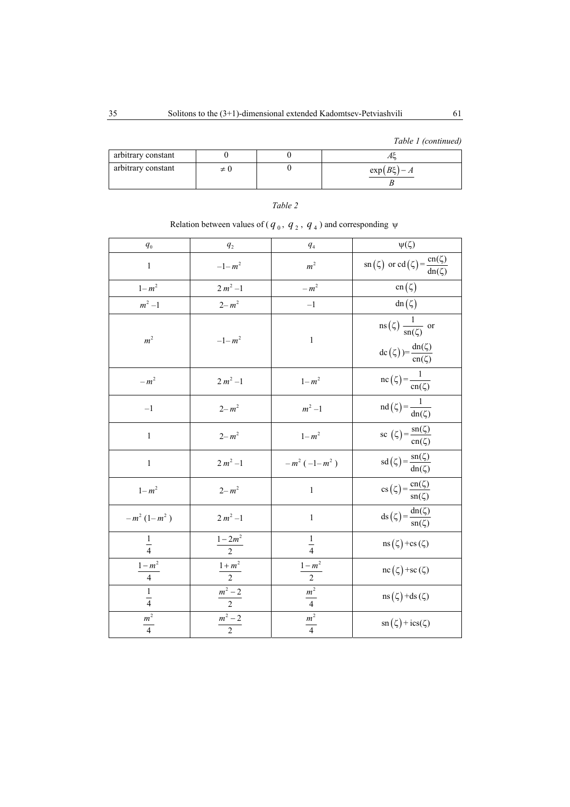*Table 1 (continued)*

| arbitrary constant |     |                |
|--------------------|-----|----------------|
| arbitrary constant | ≠ ∪ | $\exp(B\xi)-A$ |

# *Table 2*

# Relation between values of ( $q_0$ ,  $q_2$ ,  $q_4$ ) and corresponding  $\psi$

| $\mathfrak{q}_\mathrm{0}$ | $\mathfrak{q}_2$   | $q_{4}$                           | $\psi(\zeta)$                                                                                                        |
|---------------------------|--------------------|-----------------------------------|----------------------------------------------------------------------------------------------------------------------|
| $\mathbf{1}$              | $-1 - m^2$         | m <sup>2</sup>                    | $\operatorname{sn}(\zeta)$ or $\operatorname{cd}(\zeta) = \frac{\operatorname{cn}(\zeta)}{\operatorname{dn}(\zeta)}$ |
| $1 - m^2$                 | $2\ m^2 - 1$       | $-m2$                             | $cn(\zeta)$                                                                                                          |
| $m^2-\!1$                 | $2 - m^2$          | $^{-1}\,$                         | $dn(\zeta)$                                                                                                          |
| m <sup>2</sup>            | $-1 - m^2$         | $\,1\,$                           | $\text{ns}(\zeta) \frac{1}{\text{sn}(\zeta)}$ or<br>$\text{dc}(\zeta) = \frac{\text{dn}(\zeta)}{\text{cn}(\zeta)}$   |
| $-m2$                     | $2 m2 -1$          | $1 - m^2$                         | $\operatorname{nc}(\zeta) = \frac{1}{\operatorname{cn}(\zeta)}$                                                      |
| $-1$                      | $2 - m^2$          | $m^2-1$                           | $nd(\zeta) = \frac{1}{dn(\zeta)}$                                                                                    |
| $\mathbf{1}$              | $2 - m^2$          | $1 - m^2$                         | sc $(\zeta) = \frac{\text{sn}(\zeta)}{\text{cn}(\zeta)}$                                                             |
| $\mathbf{1}$              | $2 m2 -1$          | $-m^{2}(-1-m^{2})$                | $sd(\zeta) = \frac{sn(\zeta)}{dn(\zeta)}$                                                                            |
| $1 - m^2$                 | $2 - m^2$          | $\mathbf{1}$                      | $cs(\zeta) = \frac{cn(\zeta)}{sn(\zeta)}$                                                                            |
| $-m^{2}(1-m^{2})$         | $2 m2 - 1$         | $\mathbf{1}$                      | $ds(\zeta) = \frac{dn(\zeta)}{sn(\zeta)}$                                                                            |
| $rac{1}{4}$               | $\frac{1-2m^2}{2}$ | $\frac{1}{4}$                     | $\text{ns}(\zeta)$ +cs $(\zeta)$                                                                                     |
| $\frac{1-m^2}{4}$         | $\frac{1+m^2}{2}$  |                                   | $\operatorname{nc}(\zeta)$ +sc $(\zeta)$                                                                             |
| $\frac{1}{4}$             | $\frac{m^2-2}{2}$  | $\frac{1-m^2}{2}$ $\frac{m^2}{4}$ | $ns(\zeta)$ +ds $(\zeta)$                                                                                            |
| $\frac{m^2}{4}$           | $\frac{m^2-2}{2}$  | $\frac{m^2}{4}$                   | $\operatorname{sn}(\zeta) + \operatorname{ics}(\zeta)$                                                               |